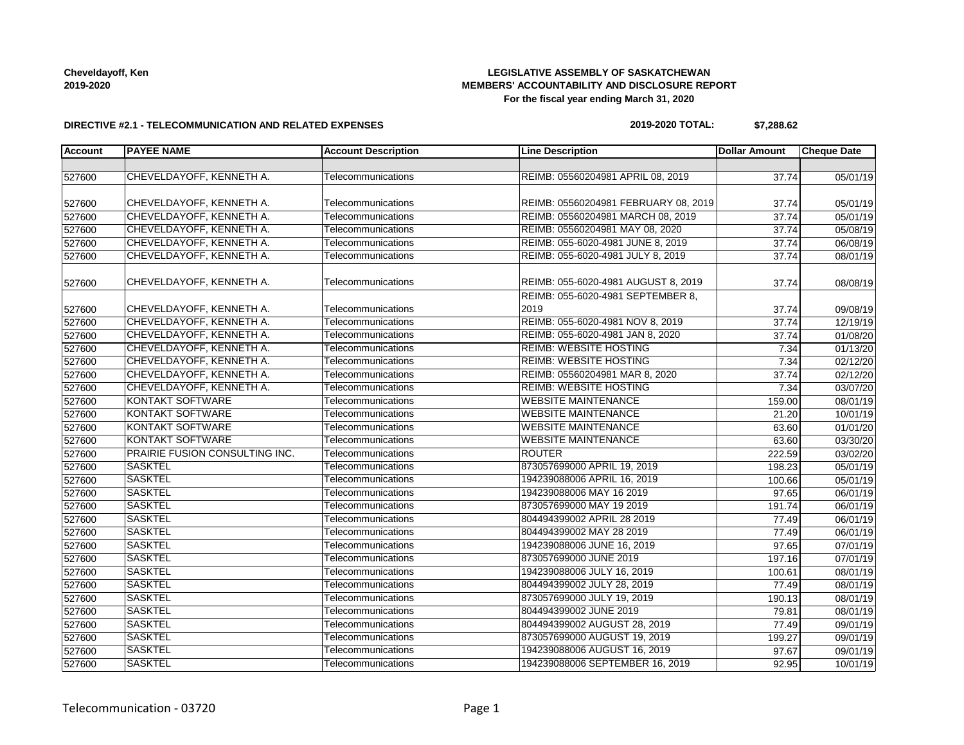# **LEGISLATIVE ASSEMBLY OF SASKATCHEWAN MEMBERS' ACCOUNTABILITY AND DISCLOSURE REPORT For the fiscal year ending March 31, 2020**

### **DIRECTIVE #2.1 - TELECOMMUNICATION AND RELATED EXPENSES**

#### **2019-2020 TOTAL: \$7,288.62**

| <b>Account</b>   | <b>PAYEE NAME</b>              | <b>Account Description</b> | <b>Line Description</b>              | <b>Dollar Amount</b> | <b>Cheque Date</b>    |
|------------------|--------------------------------|----------------------------|--------------------------------------|----------------------|-----------------------|
|                  |                                |                            |                                      |                      |                       |
| 527600           | CHEVELDAYOFF, KENNETH A.       | Telecommunications         | REIMB: 05560204981 APRIL 08, 2019    | 37.74                | 05/01/19              |
|                  |                                |                            |                                      |                      |                       |
| 527600           | CHEVELDAYOFF, KENNETH A.       | Telecommunications         | REIMB: 05560204981 FEBRUARY 08, 2019 | 37.74                | 05/01/19              |
| 527600           | CHEVELDAYOFF, KENNETH A.       | Telecommunications         | REIMB: 05560204981 MARCH 08, 2019    | 37.74                | 05/01/19              |
| 527600           | CHEVELDAYOFF, KENNETH A.       | Telecommunications         | REIMB: 05560204981 MAY 08, 2020      | 37.74                | 05/08/19              |
| 527600           | CHEVELDAYOFF, KENNETH A.       | Telecommunications         | REIMB: 055-6020-4981 JUNE 8, 2019    | 37.74                | $\overline{06/08}/19$ |
| 527600           | CHEVELDAYOFF, KENNETH A.       | Telecommunications         | REIMB: 055-6020-4981 JULY 8, 2019    | 37.74                | 08/01/19              |
| 527600           | CHEVELDAYOFF, KENNETH A.       | Telecommunications         | REIMB: 055-6020-4981 AUGUST 8, 2019  | 37.74                | 08/08/19              |
|                  |                                |                            | REIMB: 055-6020-4981 SEPTEMBER 8,    |                      |                       |
| 527600           | CHEVELDAYOFF, KENNETH A.       | Telecommunications         | 2019                                 | 37.74                | 09/08/19              |
| 527600           | CHEVELDAYOFF, KENNETH A.       | Telecommunications         | REIMB: 055-6020-4981 NOV 8, 2019     | 37.74                | 12/19/19              |
| 527600           | CHEVELDAYOFF, KENNETH A.       | Telecommunications         | REIMB: 055-6020-4981 JAN 8, 2020     | 37.74                | 01/08/20              |
| 527600           | CHEVELDAYOFF, KENNETH A.       | Telecommunications         | <b>REIMB: WEBSITE HOSTING</b>        | 7.34                 | 01/13/20              |
| 527600           | CHEVELDAYOFF, KENNETH A.       | Telecommunications         | <b>REIMB: WEBSITE HOSTING</b>        | 7.34                 | 02/12/20              |
| 527600           | CHEVELDAYOFF, KENNETH A.       | Telecommunications         | REIMB: 05560204981 MAR 8, 2020       | 37.74                | 02/12/20              |
| 527600           | CHEVELDAYOFF, KENNETH A.       | Telecommunications         | <b>REIMB: WEBSITE HOSTING</b>        | 7.34                 | 03/07/20              |
| 527600           | <b>KONTAKT SOFTWARE</b>        | Telecommunications         | <b>WEBSITE MAINTENANCE</b>           | 159.00               | 08/01/19              |
| 527600           | <b>KONTAKT SOFTWARE</b>        | Telecommunications         | <b>WEBSITE MAINTENANCE</b>           | 21.20                | 10/01/19              |
|                  | KONTAKT SOFTWARE               | Telecommunications         | <b>WEBSITE MAINTENANCE</b>           | 63.60                | 01/01/20              |
| 527600<br>527600 | <b>KONTAKT SOFTWARE</b>        | Telecommunications         | <b>WEBSITE MAINTENANCE</b>           | 63.60                | 03/30/20              |
|                  | PRAIRIE FUSION CONSULTING INC. | Telecommunications         | <b>ROUTER</b>                        |                      |                       |
| 527600           | <b>SASKTEL</b>                 | Telecommunications         | 873057699000 APRIL 19, 2019          | 222.59               | 03/02/20              |
| 527600           | <b>SASKTEL</b>                 |                            | 194239088006 APRIL 16, 2019          | 198.23<br>100.66     | 05/01/19              |
| 527600           | <b>SASKTEL</b>                 | Telecommunications         |                                      |                      | 05/01/19              |
| 527600           |                                | Telecommunications         | 194239088006 MAY 16 2019             | 97.65                | 06/01/19              |
| 527600           | <b>SASKTEL</b>                 | Telecommunications         | 873057699000 MAY 19 2019             | 191.74               | 06/01/19              |
| 527600           | <b>SASKTEL</b>                 | Telecommunications         | 804494399002 APRIL 28 2019           | 77.49                | 06/01/19              |
| 527600           | <b>SASKTEL</b>                 | Telecommunications         | 804494399002 MAY 28 2019             | 77.49                | 06/01/19              |
| 527600           | <b>SASKTEL</b>                 | Telecommunications         | 194239088006 JUNE 16, 2019           | 97.65                | 07/01/19              |
| 527600           | <b>SASKTEL</b>                 | Telecommunications         | 873057699000 JUNE 2019               | 197.16               | 07/01/19              |
| 527600           | <b>SASKTEL</b>                 | Telecommunications         | 194239088006 JULY 16, 2019           | 100.61               | 08/01/19              |
| 527600           | <b>SASKTEL</b>                 | Telecommunications         | 804494399002 JULY 28, 2019           | 77.49                | 08/01/19              |
| 527600           | <b>SASKTEL</b>                 | Telecommunications         | 873057699000 JULY 19, 2019           | 190.13               | 08/01/19              |
| 527600           | <b>SASKTEL</b>                 | Telecommunications         | 804494399002 JUNE 2019               | 79.81                | 08/01/19              |
| 527600           | <b>SASKTEL</b>                 | Telecommunications         | 804494399002 AUGUST 28, 2019         | 77.49                | $\overline{09/0}1/19$ |
| 527600           | <b>SASKTEL</b>                 | Telecommunications         | 873057699000 AUGUST 19, 2019         | 199.27               | 09/01/19              |
| 527600           | <b>SASKTEL</b>                 | Telecommunications         | 194239088006 AUGUST 16, 2019         | 97.67                | 09/01/19              |
| 527600           | <b>SASKTEL</b>                 | Telecommunications         | 194239088006 SEPTEMBER 16, 2019      | 92.95                | 10/01/19              |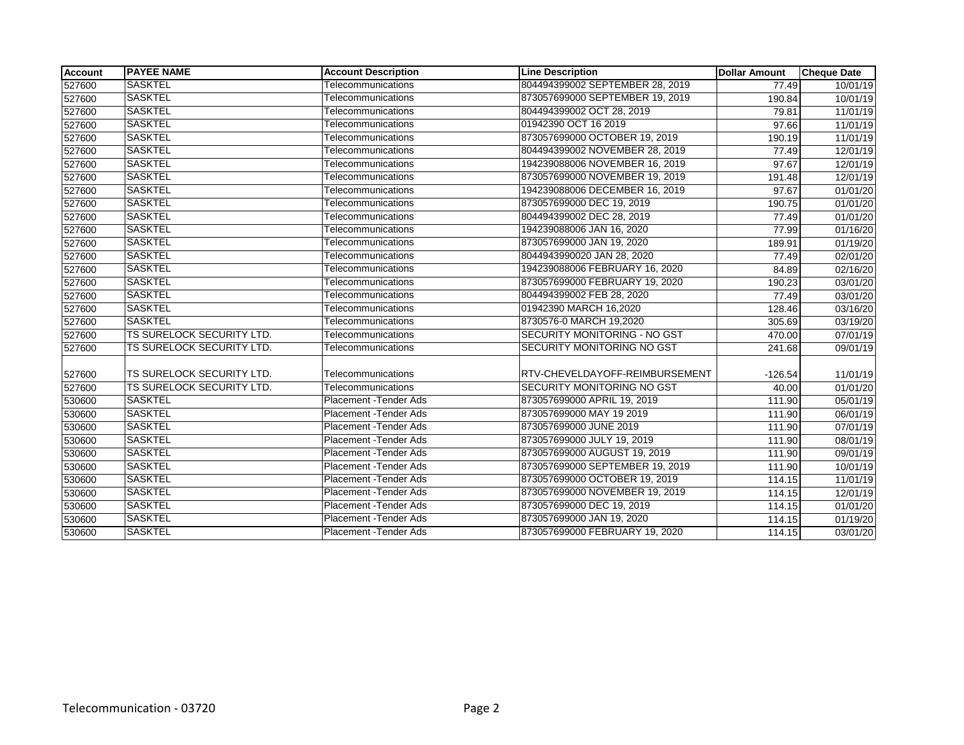| <b>Account</b> | <b>PAYEE NAME</b>                | <b>Account Description</b>    | <b>Line Description</b>             | <b>Dollar Amount</b> | <b>Cheque Date</b> |
|----------------|----------------------------------|-------------------------------|-------------------------------------|----------------------|--------------------|
| 527600         | <b>SASKTEL</b>                   | Telecommunications            | 804494399002 SEPTEMBER 28, 2019     | 77.49                | 10/01/19           |
| 527600         | <b>SASKTEL</b>                   | Telecommunications            | 873057699000 SEPTEMBER 19, 2019     | 190.84               | 10/01/19           |
| 527600         | <b>SASKTEL</b>                   | Telecommunications            | 804494399002 OCT 28, 2019           | 79.81                | 11/01/19           |
| 527600         | <b>SASKTEL</b>                   | Telecommunications            | 01942390 OCT 16 2019                | 97.66                | 11/01/19           |
| 527600         | <b>SASKTEL</b>                   | Telecommunications            | 873057699000 OCTOBER 19, 2019       | 190.19               | 11/01/19           |
| 527600         | <b>SASKTEL</b>                   | Telecommunications            | 804494399002 NOVEMBER 28, 2019      | 77.49                | 12/01/19           |
| 527600         | <b>SASKTEL</b>                   | Telecommunications            | 194239088006 NOVEMBER 16, 2019      | 97.67                | 12/01/19           |
| 527600         | <b>SASKTEL</b>                   | Telecommunications            | 873057699000 NOVEMBER 19, 2019      | 191.48               | 12/01/19           |
| 527600         | <b>SASKTEL</b>                   | Telecommunications            | 194239088006 DECEMBER 16, 2019      | 97.67                | 01/01/20           |
| 527600         | <b>SASKTEL</b>                   | Telecommunications            | 873057699000 DEC 19, 2019           | 190.75               | 01/01/20           |
| 527600         | <b>SASKTEL</b>                   | Telecommunications            | 804494399002 DEC 28, 2019           | 77.49                | 01/01/20           |
| 527600         | <b>SASKTEL</b>                   | Telecommunications            | 194239088006 JAN 16, 2020           | 77.99                | 01/16/20           |
| 527600         | <b>SASKTEL</b>                   | Telecommunications            | 873057699000 JAN 19, 2020           | 189.91               | 01/19/20           |
| 527600         | <b>SASKTEL</b>                   | Telecommunications            | 8044943990020 JAN 28, 2020          | 77.49                | 02/01/20           |
| 527600         | <b>SASKTEL</b>                   | Telecommunications            | 194239088006 FEBRUARY 16, 2020      | 84.89                | 02/16/20           |
| 527600         | <b>SASKTEL</b>                   | Telecommunications            | 873057699000 FEBRUARY 19, 2020      | 190.23               | 03/01/20           |
| 527600         | <b>SASKTEL</b>                   | Telecommunications            | 804494399002 FEB 28, 2020           | 77.49                | 03/01/20           |
| 527600         | <b>SASKTEL</b>                   | Telecommunications            | 01942390 MARCH 16,2020              | 128.46               | 03/16/20           |
| 527600         | <b>SASKTEL</b>                   | Telecommunications            | 8730576-0 MARCH 19,2020             | 305.69               | 03/19/20           |
| 527600         | <b>TS SURELOCK SECURITY LTD.</b> | Telecommunications            | <b>SECURITY MONITORING - NO GST</b> | 470.00               | 07/01/19           |
| 527600         | TS SURELOCK SECURITY LTD.        | Telecommunications            | SECURITY MONITORING NO GST          | 241.68               | 09/01/19           |
|                |                                  |                               |                                     |                      |                    |
| 527600         | TS SURELOCK SECURITY LTD.        | Telecommunications            | RTV-CHEVELDAYOFF-REIMBURSEMENT      | $-126.54$            | 11/01/19           |
| 527600         | <b>TS SURELOCK SECURITY LTD.</b> | Telecommunications            | <b>SECURITY MONITORING NO GST</b>   | 40.00                | 01/01/20           |
| 530600         | <b>SASKTEL</b>                   | <b>Placement - Tender Ads</b> | 873057699000 APRIL 19, 2019         | 111.90               | 05/01/19           |
| 530600         | <b>SASKTEL</b>                   | Placement - Tender Ads        | 873057699000 MAY 19 2019            | 111.90               | 06/01/19           |
| 530600         | <b>SASKTEL</b>                   | <b>Placement - Tender Ads</b> | 873057699000 JUNE 2019              | 111.90               | 07/01/19           |
| 530600         | <b>SASKTEL</b>                   | Placement - Tender Ads        | 873057699000 JULY 19, 2019          | 111.90               | 08/01/19           |
| 530600         | <b>SASKTEL</b>                   | Placement - Tender Ads        | 873057699000 AUGUST 19, 2019        | 111.90               | 09/01/19           |
| 530600         | <b>SASKTEL</b>                   | Placement - Tender Ads        | 873057699000 SEPTEMBER 19, 2019     | 111.90               | 10/01/19           |
| 530600         | <b>SASKTEL</b>                   | Placement - Tender Ads        | 873057699000 OCTOBER 19, 2019       | 114.15               | 11/01/19           |
| 530600         | <b>SASKTEL</b>                   | Placement - Tender Ads        | 873057699000 NOVEMBER 19, 2019      | 114.15               | 12/01/19           |
| 530600         | <b>SASKTEL</b>                   | Placement - Tender Ads        | 873057699000 DEC 19, 2019           | 114.15               | 01/01/20           |
| 530600         | <b>SASKTEL</b>                   | Placement - Tender Ads        | 873057699000 JAN 19, 2020           | 114.15               | 01/19/20           |
| 530600         | <b>SASKTEL</b>                   | Placement - Tender Ads        | 873057699000 FEBRUARY 19, 2020      | 114.15               | 03/01/20           |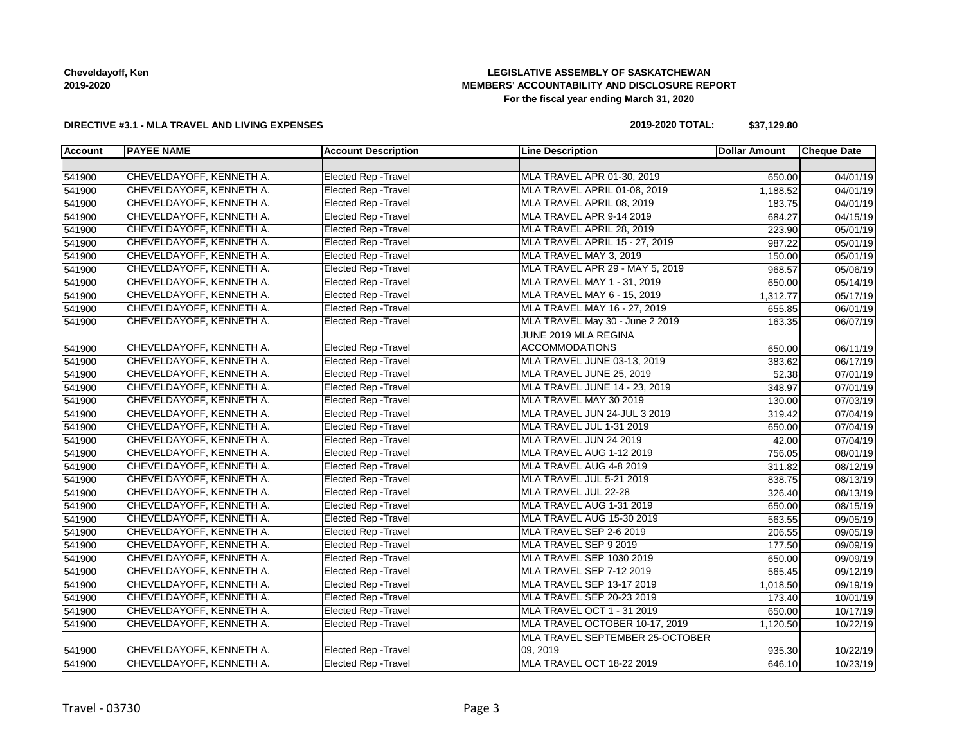# **LEGISLATIVE ASSEMBLY OF SASKATCHEWAN MEMBERS' ACCOUNTABILITY AND DISCLOSURE REPORT For the fiscal year ending March 31, 2020**

### **DIRECTIVE #3.1 - MLA TRAVEL AND LIVING EXPENSES**

# **2019-2020 TOTAL: \$37,129.80**

| <b>Account</b> | <b>PAYEE NAME</b>        | <b>Account Description</b>  | <b>Line Description</b>         | <b>Dollar Amount</b> | <b>Cheque Date</b>    |
|----------------|--------------------------|-----------------------------|---------------------------------|----------------------|-----------------------|
|                |                          |                             |                                 |                      |                       |
| 541900         | CHEVELDAYOFF, KENNETH A. | <b>Elected Rep - Travel</b> | MLA TRAVEL APR 01-30, 2019      | 650.00               | 04/01/19              |
| 541900         | CHEVELDAYOFF, KENNETH A. | <b>Elected Rep - Travel</b> | MLA TRAVEL APRIL 01-08, 2019    | 1,188.52             | 04/01/19              |
| 541900         | CHEVELDAYOFF, KENNETH A. | <b>Elected Rep - Travel</b> | MLA TRAVEL APRIL 08, 2019       | 183.75               | 04/01/19              |
| 541900         | CHEVELDAYOFF, KENNETH A. | <b>Elected Rep - Travel</b> | MLA TRAVEL APR 9-14 2019        | 684.27               | 04/15/19              |
| 541900         | CHEVELDAYOFF, KENNETH A. | <b>Elected Rep - Travel</b> | MLA TRAVEL APRIL 28, 2019       | 223.90               | 05/01/19              |
| 541900         | CHEVELDAYOFF, KENNETH A. | Elected Rep - Travel        | MLA TRAVEL APRIL 15 - 27, 2019  | 987.22               | 05/01/19              |
| 541900         | CHEVELDAYOFF, KENNETH A. | <b>Elected Rep - Travel</b> | MLA TRAVEL MAY 3, 2019          | 150.00               | 05/01/19              |
| 541900         | CHEVELDAYOFF, KENNETH A. | <b>Elected Rep - Travel</b> | MLA TRAVEL APR 29 - MAY 5, 2019 | 968.57               | 05/06/19              |
| 541900         | CHEVELDAYOFF, KENNETH A. | <b>Elected Rep - Travel</b> | MLA TRAVEL MAY 1 - 31, 2019     | 650.00               | 05/14/19              |
| 541900         | CHEVELDAYOFF, KENNETH A. | <b>Elected Rep - Travel</b> | MLA TRAVEL MAY 6 - 15, 2019     | 1,312.77             | 05/17/19              |
| 541900         | CHEVELDAYOFF, KENNETH A. | <b>Elected Rep - Travel</b> | MLA TRAVEL MAY 16 - 27, 2019    | 655.85               | 06/01/19              |
| 541900         | CHEVELDAYOFF, KENNETH A. | <b>Elected Rep - Travel</b> | MLA TRAVEL May 30 - June 2 2019 | 163.35               | 06/07/19              |
|                |                          |                             | JUNE 2019 MLA REGINA            |                      |                       |
| 541900         | CHEVELDAYOFF, KENNETH A. | Elected Rep - Travel        | <b>ACCOMMODATIONS</b>           | 650.00               | 06/11/19              |
| 541900         | CHEVELDAYOFF, KENNETH A. | <b>Elected Rep - Travel</b> | MLA TRAVEL JUNE 03-13, 2019     | 383.62               | 06/17/19              |
| 541900         | CHEVELDAYOFF, KENNETH A. | <b>Elected Rep - Travel</b> | MLA TRAVEL JUNE 25, 2019        | 52.38                | $\overline{07/01/19}$ |
| 541900         | CHEVELDAYOFF, KENNETH A. | <b>Elected Rep - Travel</b> | MLA TRAVEL JUNE 14 - 23, 2019   | 348.97               | 07/01/19              |
| 541900         | CHEVELDAYOFF, KENNETH A. | Elected Rep - Travel        | MLA TRAVEL MAY 30 2019          | 130.00               | 07/03/19              |
| 541900         | CHEVELDAYOFF, KENNETH A. | <b>Elected Rep - Travel</b> | MLA TRAVEL JUN 24-JUL 3 2019    | 319.42               | 07/04/19              |
| 541900         | CHEVELDAYOFF, KENNETH A. | <b>Elected Rep - Travel</b> | MLA TRAVEL JUL 1-31 2019        | 650.00               | 07/04/19              |
| 541900         | CHEVELDAYOFF, KENNETH A. | <b>Elected Rep - Travel</b> | MLA TRAVEL JUN 24 2019          | 42.00                | 07/04/19              |
| 541900         | CHEVELDAYOFF, KENNETH A. | <b>Elected Rep - Travel</b> | MLA TRAVEL AUG 1-12 2019        | 756.05               | 08/01/19              |
| 541900         | CHEVELDAYOFF, KENNETH A. | <b>Elected Rep - Travel</b> | MLA TRAVEL AUG 4-8 2019         | 311.82               | 08/12/19              |
| 541900         | CHEVELDAYOFF, KENNETH A. | <b>Elected Rep - Travel</b> | MLA TRAVEL JUL 5-21 2019        | 838.75               | 08/13/19              |
| 541900         | CHEVELDAYOFF, KENNETH A. | <b>Elected Rep - Travel</b> | MLA TRAVEL JUL 22-28            | 326.40               | 08/13/19              |
| 541900         | CHEVELDAYOFF, KENNETH A. | <b>Elected Rep - Travel</b> | MLA TRAVEL AUG 1-31 2019        | 650.00               | 08/15/19              |
| 541900         | CHEVELDAYOFF, KENNETH A. | <b>Elected Rep - Travel</b> | MLA TRAVEL AUG 15-30 2019       | 563.55               | 09/05/19              |
| 541900         | CHEVELDAYOFF, KENNETH A. | <b>Elected Rep - Travel</b> | MLA TRAVEL SEP 2-6 2019         | 206.55               | 09/05/19              |
| 541900         | CHEVELDAYOFF, KENNETH A. | Elected Rep - Travel        | MLA TRAVEL SEP 9 2019           | 177.50               | 09/09/19              |
| 541900         | CHEVELDAYOFF, KENNETH A. | <b>Elected Rep - Travel</b> | MLA TRAVEL SEP 1030 2019        | 650.00               | 09/09/19              |
| 541900         | CHEVELDAYOFF, KENNETH A. | <b>Elected Rep - Travel</b> | MLA TRAVEL SEP 7-12 2019        | 565.45               | 09/12/19              |
| 541900         | CHEVELDAYOFF, KENNETH A. | <b>Elected Rep - Travel</b> | MLA TRAVEL SEP 13-17 2019       | 1,018.50             | 09/19/19              |
| 541900         | CHEVELDAYOFF, KENNETH A. | <b>Elected Rep - Travel</b> | MLA TRAVEL SEP 20-23 2019       | 173.40               | 10/01/19              |
| 541900         | CHEVELDAYOFF, KENNETH A. | <b>Elected Rep - Travel</b> | MLA TRAVEL OCT 1 - 31 2019      | 650.00               | 10/17/19              |
| 541900         | CHEVELDAYOFF, KENNETH A. | Elected Rep - Travel        | MLA TRAVEL OCTOBER 10-17, 2019  | 1,120.50             | 10/22/19              |
|                |                          |                             | MLA TRAVEL SEPTEMBER 25-OCTOBER |                      |                       |
| 541900         | CHEVELDAYOFF, KENNETH A. | Elected Rep - Travel        | 09, 2019                        | 935.30               | 10/22/19              |
| 541900         | CHEVELDAYOFF, KENNETH A. | Elected Rep - Travel        | MLA TRAVEL OCT 18-22 2019       | 646.10               | 10/23/19              |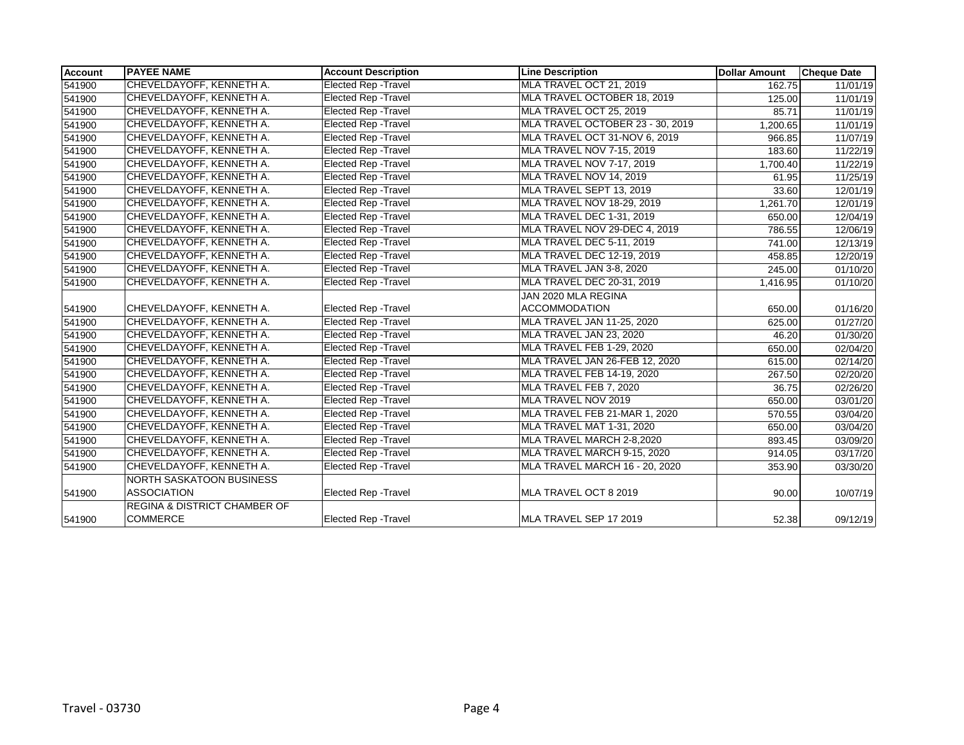| <b>Account</b> | <b>PAYEE NAME</b>                       | <b>Account Description</b>  | <b>Line Description</b>               | <b>Dollar Amount</b> | <b>Cheque Date</b>    |
|----------------|-----------------------------------------|-----------------------------|---------------------------------------|----------------------|-----------------------|
| 541900         | CHEVELDAYOFF, KENNETH A.                | <b>Elected Rep - Travel</b> | MLA TRAVEL OCT 21, 2019               | 162.75               | 11/01/19              |
| 541900         | CHEVELDAYOFF, KENNETH A.                | Elected Rep - Travel        | MLA TRAVEL OCTOBER 18, 2019           | 125.00               | 11/01/19              |
| 541900         | CHEVELDAYOFF, KENNETH A.                | <b>Elected Rep - Travel</b> | MLA TRAVEL OCT 25, 2019               | 85.71                | 11/01/19              |
| 541900         | CHEVELDAYOFF, KENNETH A.                | <b>Elected Rep - Travel</b> | MLA TRAVEL OCTOBER 23 - 30, 2019      | 1,200.65             | 11/01/19              |
| 541900         | CHEVELDAYOFF, KENNETH A.                | <b>Elected Rep - Travel</b> | MLA TRAVEL OCT 31-NOV 6, 2019         | 966.85               | 11/07/19              |
| 541900         | CHEVELDAYOFF, KENNETH A.                | <b>Elected Rep - Travel</b> | MLA TRAVEL NOV 7-15, 2019             | 183.60               | 11/22/19              |
| 541900         | CHEVELDAYOFF, KENNETH A.                | Elected Rep - Travel        | MLA TRAVEL NOV 7-17, 2019             | 1,700.40             | 11/22/19              |
| 541900         | CHEVELDAYOFF, KENNETH A.                | Elected Rep - Travel        | MLA TRAVEL NOV 14, 2019               | 61.95                | 11/25/19              |
| 541900         | CHEVELDAYOFF, KENNETH A.                | <b>Elected Rep - Travel</b> | MLA TRAVEL SEPT 13, 2019              | 33.60                | 12/01/19              |
| 541900         | CHEVELDAYOFF, KENNETH A.                | Elected Rep - Travel        | <b>MLA TRAVEL NOV 18-29, 2019</b>     | 1,261.70             | 12/01/19              |
| 541900         | CHEVELDAYOFF, KENNETH A.                | <b>Elected Rep - Travel</b> | <b>MLA TRAVEL DEC 1-31, 2019</b>      | 650.00               | 12/04/19              |
| 541900         | CHEVELDAYOFF, KENNETH A.                | Elected Rep - Travel        | MLA TRAVEL NOV 29-DEC 4, 2019         | 786.55               | 12/06/19              |
| 541900         | CHEVELDAYOFF, KENNETH A.                | <b>Elected Rep - Travel</b> | MLA TRAVEL DEC 5-11, 2019             | 741.00               | 12/13/19              |
| 541900         | CHEVELDAYOFF, KENNETH A.                | <b>Elected Rep - Travel</b> | MLA TRAVEL DEC 12-19, 2019            | 458.85               | 12/20/19              |
| 541900         | CHEVELDAYOFF, KENNETH A.                | Elected Rep - Travel        | MLA TRAVEL JAN 3-8, 2020              | 245.00               | 01/10/20              |
| 541900         | CHEVELDAYOFF, KENNETH A.                | Elected Rep - Travel        | MLA TRAVEL DEC 20-31, 2019            | 1,416.95             | 01/10/20              |
|                |                                         |                             | JAN 2020 MLA REGINA                   |                      |                       |
| 541900         | CHEVELDAYOFF, KENNETH A.                | <b>Elected Rep - Travel</b> | <b>ACCOMMODATION</b>                  | 650.00               | 01/16/20              |
| 541900         | CHEVELDAYOFF, KENNETH A.                | <b>Elected Rep - Travel</b> | MLA TRAVEL JAN 11-25, 2020            | 625.00               | $\overline{01}/27/20$ |
| 541900         | CHEVELDAYOFF, KENNETH A.                | <b>Elected Rep - Travel</b> | MLA TRAVEL JAN 23, 2020               | 46.20                | 01/30/20              |
| 541900         | CHEVELDAYOFF, KENNETH A.                | Elected Rep - Travel        | MLA TRAVEL FEB 1-29, 2020             | 650.00               | 02/04/20              |
| 541900         | CHEVELDAYOFF, KENNETH A.                | Elected Rep - Travel        | MLA TRAVEL JAN 26-FEB 12, 2020        | 615.00               | 02/14/20              |
| 541900         | CHEVELDAYOFF, KENNETH A.                | Elected Rep - Travel        | MLA TRAVEL FEB 14-19, 2020            | 267.50               | 02/20/20              |
| 541900         | CHEVELDAYOFF, KENNETH A.                | Elected Rep - Travel        | MLA TRAVEL FEB 7, 2020                | 36.75                | 02/26/20              |
| 541900         | CHEVELDAYOFF, KENNETH A.                | Elected Rep - Travel        | MLA TRAVEL NOV 2019                   | 650.00               | 03/01/20              |
| 541900         | CHEVELDAYOFF, KENNETH A.                | <b>Elected Rep - Travel</b> | MLA TRAVEL FEB 21-MAR 1, 2020         | 570.55               | 03/04/20              |
| 541900         | CHEVELDAYOFF, KENNETH A.                | <b>Elected Rep - Travel</b> | MLA TRAVEL MAT 1-31, 2020             | 650.00               | 03/04/20              |
| 541900         | CHEVELDAYOFF, KENNETH A.                | <b>Elected Rep - Travel</b> | MLA TRAVEL MARCH 2-8,2020             | 893.45               | 03/09/20              |
| 541900         | CHEVELDAYOFF, KENNETH A.                | <b>Elected Rep - Travel</b> | MLA TRAVEL MARCH 9-15, 2020           | 914.05               | 03/17/20              |
| 541900         | CHEVELDAYOFF, KENNETH A.                | <b>Elected Rep - Travel</b> | <b>MLA TRAVEL MARCH 16 - 20, 2020</b> | 353.90               | 03/30/20              |
|                | <b>NORTH SASKATOON BUSINESS</b>         |                             |                                       |                      |                       |
| 541900         | <b>ASSOCIATION</b>                      | <b>Elected Rep - Travel</b> | MLA TRAVEL OCT 8 2019                 | 90.00                | 10/07/19              |
|                | <b>REGINA &amp; DISTRICT CHAMBER OF</b> |                             |                                       |                      |                       |
| 541900         | <b>COMMERCE</b>                         | <b>Elected Rep - Travel</b> | MLA TRAVEL SEP 17 2019                | 52.38                | 09/12/19              |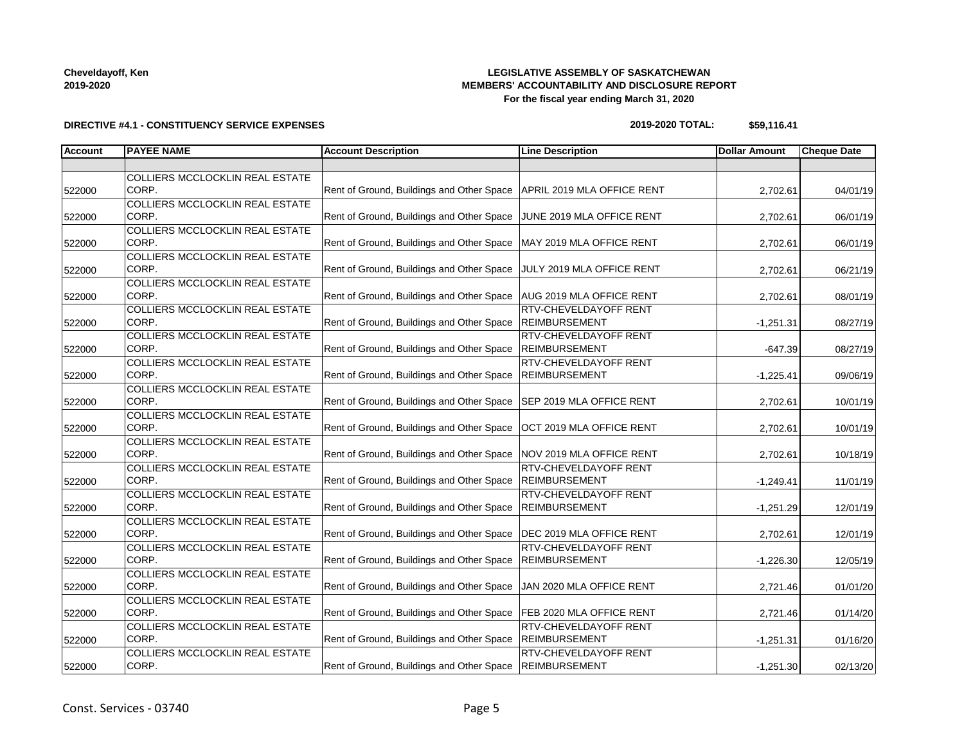# **LEGISLATIVE ASSEMBLY OF SASKATCHEWAN MEMBERS' ACCOUNTABILITY AND DISCLOSURE REPORT For the fiscal year ending March 31, 2020**

# **DIRECTIVE #4.1 - CONSTITUENCY SERVICE EXPENSES**

### **2019-2020 TOTAL: \$59,116.41**

| <b>Account</b> | <b>PAYEE NAME</b>                      | <b>Account Description</b>                                             | <b>Line Description</b>      | <b>Dollar Amount</b> | <b>Cheque Date</b> |
|----------------|----------------------------------------|------------------------------------------------------------------------|------------------------------|----------------------|--------------------|
|                |                                        |                                                                        |                              |                      |                    |
|                | COLLIERS MCCLOCKLIN REAL ESTATE        |                                                                        |                              |                      |                    |
| 522000         | CORP.                                  | Rent of Ground, Buildings and Other Space   APRIL 2019 MLA OFFICE RENT |                              | 2,702.61             | 04/01/19           |
|                | <b>COLLIERS MCCLOCKLIN REAL ESTATE</b> |                                                                        |                              |                      |                    |
| 522000         | CORP.                                  | Rent of Ground, Buildings and Other Space JUNE 2019 MLA OFFICE RENT    |                              | 2,702.61             | 06/01/19           |
|                | COLLIERS MCCLOCKLIN REAL ESTATE        |                                                                        |                              |                      |                    |
| 522000         | CORP.                                  | Rent of Ground, Buildings and Other Space   MAY 2019 MLA OFFICE RENT   |                              | 2,702.61             | 06/01/19           |
|                | <b>COLLIERS MCCLOCKLIN REAL ESTATE</b> |                                                                        |                              |                      |                    |
| 522000         | CORP.                                  | Rent of Ground, Buildings and Other Space JJULY 2019 MLA OFFICE RENT   |                              | 2,702.61             | 06/21/19           |
|                | <b>COLLIERS MCCLOCKLIN REAL ESTATE</b> |                                                                        |                              |                      |                    |
| 522000         | CORP.                                  | Rent of Ground, Buildings and Other Space   AUG 2019 MLA OFFICE RENT   |                              | 2,702.61             | 08/01/19           |
|                | COLLIERS MCCLOCKLIN REAL ESTATE        |                                                                        | <b>RTV-CHEVELDAYOFF RENT</b> |                      |                    |
| 522000         | CORP.                                  | Rent of Ground, Buildings and Other Space  REIMBURSEMENT               |                              | $-1,251.31$          | 08/27/19           |
|                | COLLIERS MCCLOCKLIN REAL ESTATE        |                                                                        | RTV-CHEVELDAYOFF RENT        |                      |                    |
| 522000         | CORP.                                  | Rent of Ground, Buildings and Other Space   REIMBURSEMENT              |                              | $-647.39$            | 08/27/19           |
|                | <b>COLLIERS MCCLOCKLIN REAL ESTATE</b> |                                                                        | RTV-CHEVELDAYOFF RENT        |                      |                    |
| 522000         | CORP.                                  | Rent of Ground, Buildings and Other Space   REIMBURSEMENT              |                              | $-1,225.41$          | 09/06/19           |
|                | COLLIERS MCCLOCKLIN REAL ESTATE        |                                                                        |                              |                      |                    |
| 522000         | CORP.                                  | Rent of Ground, Buildings and Other Space   SEP 2019 MLA OFFICE RENT   |                              | 2,702.61             | 10/01/19           |
|                | <b>COLLIERS MCCLOCKLIN REAL ESTATE</b> |                                                                        |                              |                      |                    |
| 522000         | CORP.                                  | Rent of Ground, Buildings and Other Space   OCT 2019 MLA OFFICE RENT   |                              | 2,702.61             | 10/01/19           |
|                | COLLIERS MCCLOCKLIN REAL ESTATE        |                                                                        |                              |                      |                    |
| 522000         | CORP.                                  | Rent of Ground, Buildings and Other Space NOV 2019 MLA OFFICE RENT     |                              | 2,702.61             | 10/18/19           |
|                | <b>COLLIERS MCCLOCKLIN REAL ESTATE</b> |                                                                        | <b>RTV-CHEVELDAYOFF RENT</b> |                      |                    |
| 522000         | CORP.                                  | Rent of Ground, Buildings and Other Space                              | <b>REIMBURSEMENT</b>         | $-1,249.41$          | 11/01/19           |
|                | <b>COLLIERS MCCLOCKLIN REAL ESTATE</b> |                                                                        | <b>RTV-CHEVELDAYOFF RENT</b> |                      |                    |
| 522000         | CORP.                                  | Rent of Ground, Buildings and Other Space  REIMBURSEMENT               |                              | $-1,251.29$          | 12/01/19           |
|                | <b>COLLIERS MCCLOCKLIN REAL ESTATE</b> |                                                                        |                              |                      |                    |
| 522000         | CORP.                                  | Rent of Ground, Buildings and Other Space   DEC 2019 MLA OFFICE RENT   |                              | 2,702.61             | 12/01/19           |
|                | COLLIERS MCCLOCKLIN REAL ESTATE        |                                                                        | RTV-CHEVELDAYOFF RENT        |                      |                    |
| 522000         | CORP.                                  | Rent of Ground, Buildings and Other Space   REIMBURSEMENT              |                              | $-1,226.30$          | 12/05/19           |
|                | <b>COLLIERS MCCLOCKLIN REAL ESTATE</b> |                                                                        |                              |                      |                    |
| 522000         | CORP.                                  | Rent of Ground, Buildings and Other Space   JAN 2020 MLA OFFICE RENT   |                              | 2,721.46             | 01/01/20           |
|                | <b>COLLIERS MCCLOCKLIN REAL ESTATE</b> |                                                                        |                              |                      |                    |
| 522000         | CORP.                                  | Rent of Ground, Buildings and Other Space   FEB 2020 MLA OFFICE RENT   |                              | 2,721.46             | 01/14/20           |
|                | COLLIERS MCCLOCKLIN REAL ESTATE        |                                                                        | <b>RTV-CHEVELDAYOFF RENT</b> |                      |                    |
| 522000         | CORP.                                  | Rent of Ground, Buildings and Other Space                              | REIMBURSEMENT                | $-1,251.31$          | 01/16/20           |
|                | COLLIERS MCCLOCKLIN REAL ESTATE        |                                                                        | RTV-CHEVELDAYOFF RENT        |                      |                    |
| 522000         | CORP.                                  | Rent of Ground, Buildings and Other Space   REIMBURSEMENT              |                              | $-1,251.30$          | 02/13/20           |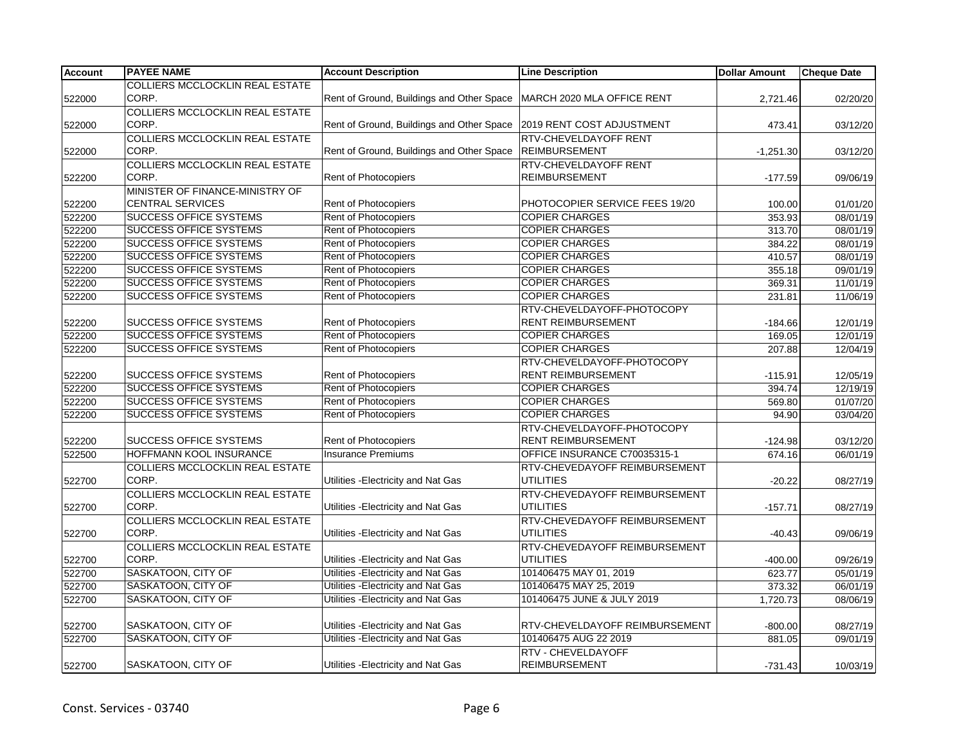| <b>Account</b> | <b>PAYEE NAME</b>                      | <b>Account Description</b>                                          | <b>Line Description</b>        | <b>Dollar Amount</b> | <b>Cheque Date</b> |
|----------------|----------------------------------------|---------------------------------------------------------------------|--------------------------------|----------------------|--------------------|
|                | COLLIERS MCCLOCKLIN REAL ESTATE        |                                                                     |                                |                      |                    |
| 522000         | CORP.                                  | Rent of Ground, Buildings and Other Space                           | MARCH 2020 MLA OFFICE RENT     | 2,721.46             | 02/20/20           |
|                | <b>COLLIERS MCCLOCKLIN REAL ESTATE</b> |                                                                     |                                |                      |                    |
| 522000         | CORP.                                  | Rent of Ground, Buildings and Other Space 2019 RENT COST ADJUSTMENT |                                | 473.41               | 03/12/20           |
|                | <b>COLLIERS MCCLOCKLIN REAL ESTATE</b> |                                                                     | RTV-CHEVELDAYOFF RENT          |                      |                    |
| 522000         | CORP.                                  | Rent of Ground, Buildings and Other Space                           | <b>REIMBURSEMENT</b>           | $-1,251.30$          | 03/12/20           |
|                | <b>COLLIERS MCCLOCKLIN REAL ESTATE</b> |                                                                     | RTV-CHEVELDAYOFF RENT          |                      |                    |
| 522200         | CORP.                                  | Rent of Photocopiers                                                | <b>REIMBURSEMENT</b>           | $-177.59$            | 09/06/19           |
|                | MINISTER OF FINANCE-MINISTRY OF        |                                                                     |                                |                      |                    |
| 522200         | <b>CENTRAL SERVICES</b>                | Rent of Photocopiers                                                | PHOTOCOPIER SERVICE FEES 19/20 | 100.00               | 01/01/20           |
| 522200         | <b>SUCCESS OFFICE SYSTEMS</b>          | Rent of Photocopiers                                                | <b>COPIER CHARGES</b>          | 353.93               | 08/01/19           |
| 522200         | <b>SUCCESS OFFICE SYSTEMS</b>          | Rent of Photocopiers                                                | <b>COPIER CHARGES</b>          | 313.70               | 08/01/19           |
| 522200         | SUCCESS OFFICE SYSTEMS                 | Rent of Photocopiers                                                | <b>COPIER CHARGES</b>          | 384.22               | 08/01/19           |
| 522200         | <b>SUCCESS OFFICE SYSTEMS</b>          | Rent of Photocopiers                                                | <b>COPIER CHARGES</b>          | 410.57               | 08/01/19           |
| 522200         | <b>SUCCESS OFFICE SYSTEMS</b>          | Rent of Photocopiers                                                | <b>COPIER CHARGES</b>          | 355.18               | 09/01/19           |
| 522200         | <b>SUCCESS OFFICE SYSTEMS</b>          | Rent of Photocopiers                                                | <b>COPIER CHARGES</b>          | 369.31               | 11/01/19           |
| 522200         | <b>SUCCESS OFFICE SYSTEMS</b>          | Rent of Photocopiers                                                | <b>COPIER CHARGES</b>          | 231.81               | 11/06/19           |
|                |                                        |                                                                     | RTV-CHEVELDAYOFF-PHOTOCOPY     |                      |                    |
| 522200         | SUCCESS OFFICE SYSTEMS                 | Rent of Photocopiers                                                | RENT REIMBURSEMENT             | $-184.66$            | 12/01/19           |
| 522200         | <b>SUCCESS OFFICE SYSTEMS</b>          | Rent of Photocopiers                                                | <b>COPIER CHARGES</b>          | 169.05               | 12/01/19           |
| 522200         | <b>SUCCESS OFFICE SYSTEMS</b>          | Rent of Photocopiers                                                | <b>COPIER CHARGES</b>          | 207.88               | 12/04/19           |
|                |                                        |                                                                     | RTV-CHEVELDAYOFF-PHOTOCOPY     |                      |                    |
| 522200         | SUCCESS OFFICE SYSTEMS                 | Rent of Photocopiers                                                | <b>RENT REIMBURSEMENT</b>      | $-115.91$            | 12/05/19           |
| 522200         | <b>SUCCESS OFFICE SYSTEMS</b>          | Rent of Photocopiers                                                | <b>COPIER CHARGES</b>          | 394.74               | 12/19/19           |
| 522200         | <b>SUCCESS OFFICE SYSTEMS</b>          | Rent of Photocopiers                                                | <b>COPIER CHARGES</b>          | 569.80               | 01/07/20           |
| 522200         | <b>SUCCESS OFFICE SYSTEMS</b>          | Rent of Photocopiers                                                | <b>COPIER CHARGES</b>          | 94.90                | 03/04/20           |
|                |                                        |                                                                     | RTV-CHEVELDAYOFF-PHOTOCOPY     |                      |                    |
| 522200         | SUCCESS OFFICE SYSTEMS                 | Rent of Photocopiers                                                | RENT REIMBURSEMENT             | $-124.98$            | 03/12/20           |
| 522500         | HOFFMANN KOOL INSURANCE                | <b>Insurance Premiums</b>                                           | OFFICE INSURANCE C70035315-1   | 674.16               | 06/01/19           |
|                | COLLIERS MCCLOCKLIN REAL ESTATE        |                                                                     | RTV-CHEVEDAYOFF REIMBURSEMENT  |                      |                    |
| 522700         | CORP.                                  | Utilities - Electricity and Nat Gas                                 | <b>UTILITIES</b>               | $-20.22$             | 08/27/19           |
|                | <b>COLLIERS MCCLOCKLIN REAL ESTATE</b> |                                                                     | RTV-CHEVEDAYOFF REIMBURSEMENT  |                      |                    |
| 522700         | CORP.                                  | Utilities - Electricity and Nat Gas                                 | <b>UTILITIES</b>               | $-157.71$            | 08/27/19           |
|                | <b>COLLIERS MCCLOCKLIN REAL ESTATE</b> |                                                                     | RTV-CHEVEDAYOFF REIMBURSEMENT  |                      |                    |
| 522700         | CORP.                                  | Utilities - Electricity and Nat Gas                                 | <b>UTILITIES</b>               | $-40.43$             | 09/06/19           |
|                | <b>COLLIERS MCCLOCKLIN REAL ESTATE</b> |                                                                     | RTV-CHEVEDAYOFF REIMBURSEMENT  |                      |                    |
| 522700         | CORP.                                  | Utilities - Electricity and Nat Gas                                 | <b>UTILITIES</b>               | $-400.00$            | 09/26/19           |
| 522700         | SASKATOON, CITY OF                     | Utilities - Electricity and Nat Gas                                 | 101406475 MAY 01, 2019         | 623.77               | 05/01/19           |
| 522700         | SASKATOON, CITY OF                     | Utilities - Electricity and Nat Gas                                 | 101406475 MAY 25, 2019         | 373.32               | 06/01/19           |
| 522700         | SASKATOON, CITY OF                     | Utilities - Electricity and Nat Gas                                 | 101406475 JUNE & JULY 2019     | 1,720.73             | 08/06/19           |
|                |                                        |                                                                     |                                |                      |                    |
| 522700         | SASKATOON, CITY OF                     | Utilities - Electricity and Nat Gas                                 | RTV-CHEVELDAYOFF REIMBURSEMENT | $-800.00$            | 08/27/19           |
| 522700         | SASKATOON, CITY OF                     | Utilities - Electricity and Nat Gas                                 | 101406475 AUG 22 2019          | 881.05               | 09/01/19           |
|                |                                        |                                                                     | RTV - CHEVELDAYOFF             |                      |                    |
| 522700         | SASKATOON, CITY OF                     | Utilities - Electricity and Nat Gas                                 | <b>REIMBURSEMENT</b>           | $-731.43$            | 10/03/19           |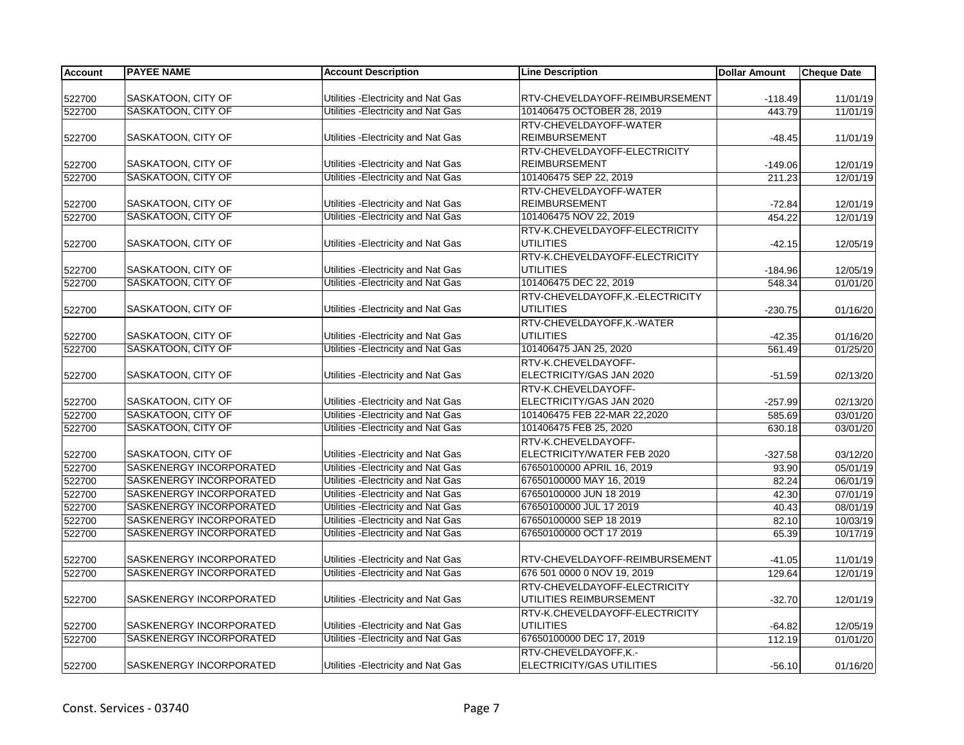| Account | <b>PAYEE NAME</b>       | <b>Account Description</b>          | <b>Line Description</b>          | <b>Dollar Amount</b> | <b>Cheque Date</b> |
|---------|-------------------------|-------------------------------------|----------------------------------|----------------------|--------------------|
|         |                         |                                     |                                  |                      |                    |
| 522700  | SASKATOON, CITY OF      | Utilities - Electricity and Nat Gas | RTV-CHEVELDAYOFF-REIMBURSEMENT   | $-118.49$            | 11/01/19           |
| 522700  | SASKATOON, CITY OF      | Utilities - Electricity and Nat Gas | 101406475 OCTOBER 28, 2019       | 443.79               | 11/01/19           |
|         |                         |                                     | RTV-CHEVELDAYOFF-WATER           |                      |                    |
| 522700  | SASKATOON, CITY OF      | Utilities - Electricity and Nat Gas | <b>REIMBURSEMENT</b>             | $-48.45$             | 11/01/19           |
|         |                         |                                     | RTV-CHEVELDAYOFF-ELECTRICITY     |                      |                    |
| 522700  | SASKATOON, CITY OF      | Utilities - Electricity and Nat Gas | <b>REIMBURSEMENT</b>             | $-149.06$            | 12/01/19           |
| 522700  | SASKATOON, CITY OF      | Utilities - Electricity and Nat Gas | 101406475 SEP 22, 2019           | 211.23               | 12/01/19           |
|         |                         |                                     | RTV-CHEVELDAYOFF-WATER           |                      |                    |
| 522700  | SASKATOON, CITY OF      | Utilities - Electricity and Nat Gas | <b>REIMBURSEMENT</b>             | $-72.84$             | 12/01/19           |
| 522700  | SASKATOON, CITY OF      | Utilities - Electricity and Nat Gas | 101406475 NOV 22, 2019           | 454.22               | 12/01/19           |
|         |                         |                                     | RTV-K.CHEVELDAYOFF-ELECTRICITY   |                      |                    |
| 522700  | SASKATOON, CITY OF      | Utilities - Electricity and Nat Gas | <b>UTILITIES</b>                 | $-42.15$             | 12/05/19           |
|         |                         |                                     | RTV-K.CHEVELDAYOFF-ELECTRICITY   |                      |                    |
| 522700  | SASKATOON, CITY OF      | Utilities - Electricity and Nat Gas | <b>UTILITIES</b>                 | $-184.96$            | 12/05/19           |
| 522700  | SASKATOON, CITY OF      | Utilities - Electricity and Nat Gas | 101406475 DEC 22, 2019           | 548.34               | 01/01/20           |
|         |                         |                                     | RTV-CHEVELDAYOFF, K.-ELECTRICITY |                      |                    |
| 522700  | SASKATOON, CITY OF      | Utilities - Electricity and Nat Gas | <b>UTILITIES</b>                 | $-230.75$            | 01/16/20           |
|         |                         |                                     | RTV-CHEVELDAYOFF, K.-WATER       |                      |                    |
| 522700  | SASKATOON, CITY OF      | Utilities - Electricity and Nat Gas | <b>UTILITIES</b>                 | $-42.35$             | 01/16/20           |
| 522700  | SASKATOON, CITY OF      | Utilities - Electricity and Nat Gas | 101406475 JAN 25, 2020           | 561.49               | 01/25/20           |
|         |                         |                                     | RTV-K.CHEVELDAYOFF-              |                      |                    |
| 522700  | SASKATOON, CITY OF      | Utilities - Electricity and Nat Gas | ELECTRICITY/GAS JAN 2020         | $-51.59$             | 02/13/20           |
|         |                         |                                     | RTV-K.CHEVELDAYOFF-              |                      |                    |
| 522700  | SASKATOON, CITY OF      | Utilities - Electricity and Nat Gas | ELECTRICITY/GAS JAN 2020         | $-257.99$            | 02/13/20           |
| 522700  | SASKATOON, CITY OF      | Utilities - Electricity and Nat Gas | 101406475 FEB 22-MAR 22,2020     | 585.69               | 03/01/20           |
| 522700  | SASKATOON, CITY OF      | Utilities - Electricity and Nat Gas | 101406475 FEB 25, 2020           | 630.18               | 03/01/20           |
|         |                         |                                     | RTV-K.CHEVELDAYOFF-              |                      |                    |
| 522700  | SASKATOON, CITY OF      | Utilities - Electricity and Nat Gas | ELECTRICITY/WATER FEB 2020       | $-327.58$            | 03/12/20           |
| 522700  | SASKENERGY INCORPORATED | Utilities - Electricity and Nat Gas | 67650100000 APRIL 16, 2019       | 93.90                | 05/01/19           |
| 522700  | SASKENERGY INCORPORATED | Utilities - Electricity and Nat Gas | 67650100000 MAY 16, 2019         | 82.24                | 06/01/19           |
| 522700  | SASKENERGY INCORPORATED | Utilities - Electricity and Nat Gas | 67650100000 JUN 18 2019          | 42.30                | 07/01/19           |
| 522700  | SASKENERGY INCORPORATED | Utilities - Electricity and Nat Gas | 67650100000 JUL 17 2019          | 40.43                | 08/01/19           |
| 522700  | SASKENERGY INCORPORATED | Utilities - Electricity and Nat Gas | 67650100000 SEP 18 2019          | 82.10                | 10/03/19           |
| 522700  | SASKENERGY INCORPORATED | Utilities - Electricity and Nat Gas | 67650100000 OCT 17 2019          | 65.39                | 10/17/19           |
|         |                         |                                     |                                  |                      |                    |
| 522700  | SASKENERGY INCORPORATED | Utilities - Electricity and Nat Gas | RTV-CHEVELDAYOFF-REIMBURSEMENT   | $-41.05$             | 11/01/19           |
| 522700  | SASKENERGY INCORPORATED | Utilities - Electricity and Nat Gas | 676 501 0000 0 NOV 19, 2019      | 129.64               | 12/01/19           |
|         |                         |                                     | RTV-CHEVELDAYOFF-ELECTRICITY     |                      |                    |
| 522700  | SASKENERGY INCORPORATED | Utilities - Electricity and Nat Gas | UTILITIES REIMBURSEMENT          | $-32.70$             | 12/01/19           |
|         |                         |                                     | RTV-K.CHEVELDAYOFF-ELECTRICITY   |                      |                    |
| 522700  | SASKENERGY INCORPORATED | Utilities - Electricity and Nat Gas | <b>UTILITIES</b>                 | $-64.82$             | 12/05/19           |
| 522700  | SASKENERGY INCORPORATED | Utilities - Electricity and Nat Gas | 67650100000 DEC 17, 2019         | 112.19               | 01/01/20           |
|         |                         |                                     | RTV-CHEVELDAYOFF,K.-             |                      |                    |
| 522700  | SASKENERGY INCORPORATED | Utilities - Electricity and Nat Gas | <b>ELECTRICITY/GAS UTILITIES</b> | $-56.10$             | 01/16/20           |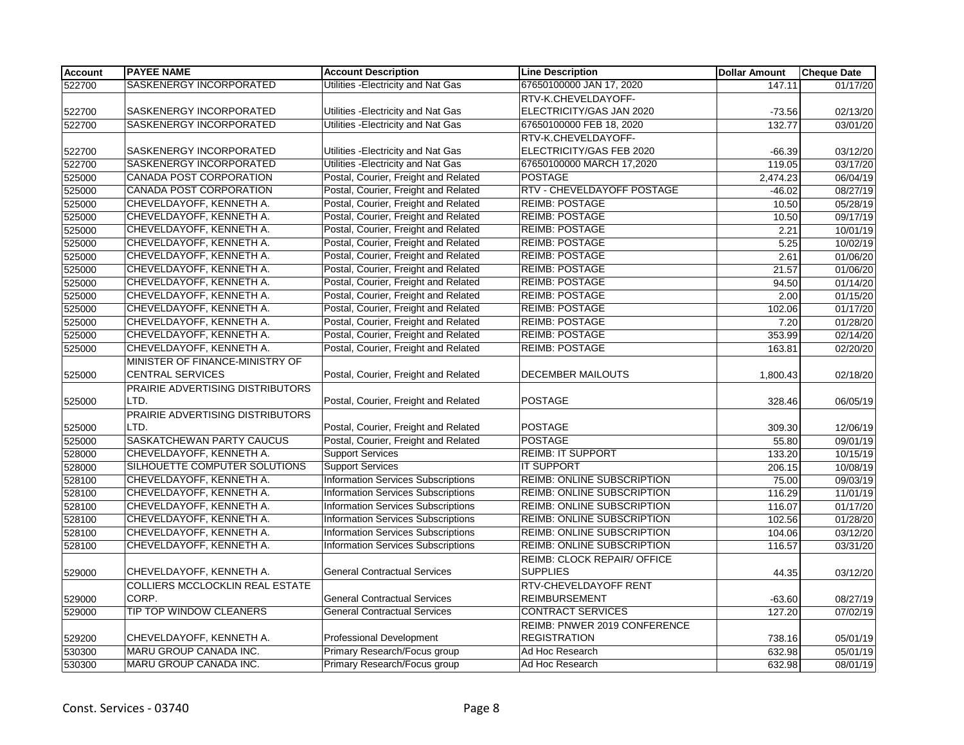| <b>Account</b> | <b>PAYEE NAME</b>                      | <b>Account Description</b>                | <b>Line Description</b>            | <b>Dollar Amount</b> | <b>Cheque Date</b> |
|----------------|----------------------------------------|-------------------------------------------|------------------------------------|----------------------|--------------------|
| 522700         | SASKENERGY INCORPORATED                | Utilities - Electricity and Nat Gas       | 67650100000 JAN 17, 2020           | 147.11               | 01/17/20           |
|                |                                        |                                           | RTV-K.CHEVELDAYOFF-                |                      |                    |
| 522700         | SASKENERGY INCORPORATED                | Utilities - Electricity and Nat Gas       | ELECTRICITY/GAS JAN 2020           | $-73.56$             | 02/13/20           |
| 522700         | SASKENERGY INCORPORATED                | Utilities - Electricity and Nat Gas       | 67650100000 FEB 18, 2020           | 132.77               | 03/01/20           |
|                |                                        |                                           | RTV-K.CHEVELDAYOFF-                |                      |                    |
| 522700         | SASKENERGY INCORPORATED                | Utilities - Electricity and Nat Gas       | ELECTRICITY/GAS FEB 2020           | $-66.39$             | 03/12/20           |
| 522700         | SASKENERGY INCORPORATED                | Utilities - Electricity and Nat Gas       | 67650100000 MARCH 17,2020          | 119.05               | 03/17/20           |
| 525000         | CANADA POST CORPORATION                | Postal, Courier, Freight and Related      | <b>POSTAGE</b>                     | 2,474.23             | 06/04/19           |
| 525000         | <b>CANADA POST CORPORATION</b>         | Postal, Courier, Freight and Related      | RTV - CHEVELDAYOFF POSTAGE         | $-46.02$             | 08/27/19           |
| 525000         | CHEVELDAYOFF, KENNETH A.               | Postal, Courier, Freight and Related      | <b>REIMB: POSTAGE</b>              | 10.50                | 05/28/19           |
| 525000         | CHEVELDAYOFF, KENNETH A.               | Postal, Courier, Freight and Related      | <b>REIMB: POSTAGE</b>              | 10.50                | 09/17/19           |
| 525000         | CHEVELDAYOFF, KENNETH A.               | Postal, Courier, Freight and Related      | <b>REIMB: POSTAGE</b>              | 2.21                 | 10/01/19           |
| 525000         | CHEVELDAYOFF, KENNETH A.               | Postal, Courier, Freight and Related      | <b>REIMB: POSTAGE</b>              | 5.25                 | 10/02/19           |
| 525000         | CHEVELDAYOFF, KENNETH A.               | Postal, Courier, Freight and Related      | <b>REIMB: POSTAGE</b>              | 2.61                 | 01/06/20           |
| 525000         | CHEVELDAYOFF, KENNETH A.               | Postal, Courier, Freight and Related      | <b>REIMB: POSTAGE</b>              | 21.57                | 01/06/20           |
| 525000         | CHEVELDAYOFF, KENNETH A.               | Postal, Courier, Freight and Related      | <b>REIMB: POSTAGE</b>              | 94.50                | 01/14/20           |
| 525000         | CHEVELDAYOFF, KENNETH A.               | Postal, Courier, Freight and Related      | <b>REIMB: POSTAGE</b>              | 2.00                 | 01/15/20           |
| 525000         | CHEVELDAYOFF, KENNETH A.               | Postal, Courier, Freight and Related      | <b>REIMB: POSTAGE</b>              | 102.06               | 01/17/20           |
| 525000         | CHEVELDAYOFF, KENNETH A.               | Postal, Courier, Freight and Related      | <b>REIMB: POSTAGE</b>              | 7.20                 | 01/28/20           |
| 525000         | CHEVELDAYOFF, KENNETH A.               | Postal, Courier, Freight and Related      | <b>REIMB: POSTAGE</b>              | 353.99               | 02/14/20           |
| 525000         | CHEVELDAYOFF, KENNETH A.               | Postal, Courier, Freight and Related      | <b>REIMB: POSTAGE</b>              | 163.81               | 02/20/20           |
|                | MINISTER OF FINANCE-MINISTRY OF        |                                           |                                    |                      |                    |
| 525000         | <b>CENTRAL SERVICES</b>                | Postal, Courier, Freight and Related      | DECEMBER MAILOUTS                  | 1,800.43             | 02/18/20           |
|                | PRAIRIE ADVERTISING DISTRIBUTORS       |                                           |                                    |                      |                    |
| 525000         | LTD.                                   | Postal, Courier, Freight and Related      | <b>POSTAGE</b>                     | 328.46               | 06/05/19           |
|                | PRAIRIE ADVERTISING DISTRIBUTORS       |                                           |                                    |                      |                    |
| 525000         | LTD.                                   | Postal, Courier, Freight and Related      | <b>POSTAGE</b>                     | 309.30               | 12/06/19           |
| 525000         | SASKATCHEWAN PARTY CAUCUS              | Postal, Courier, Freight and Related      | <b>POSTAGE</b>                     | 55.80                | 09/01/19           |
| 528000         | CHEVELDAYOFF, KENNETH A.               | <b>Support Services</b>                   | <b>REIMB: IT SUPPORT</b>           | 133.20               | 10/15/19           |
| 528000         | SILHOUETTE COMPUTER SOLUTIONS          | <b>Support Services</b>                   | <b>IT SUPPORT</b>                  | 206.15               | 10/08/19           |
| 528100         | CHEVELDAYOFF, KENNETH A.               | <b>Information Services Subscriptions</b> | <b>REIMB: ONLINE SUBSCRIPTION</b>  | 75.00                | 09/03/19           |
| 528100         | CHEVELDAYOFF, KENNETH A.               | <b>Information Services Subscriptions</b> | REIMB: ONLINE SUBSCRIPTION         | 116.29               | 11/01/19           |
| 528100         | CHEVELDAYOFF, KENNETH A.               | <b>Information Services Subscriptions</b> | REIMB: ONLINE SUBSCRIPTION         | 116.07               | 01/17/20           |
| 528100         | CHEVELDAYOFF, KENNETH A.               | Information Services Subscriptions        | <b>REIMB: ONLINE SUBSCRIPTION</b>  | 102.56               | 01/28/20           |
| 528100         | CHEVELDAYOFF, KENNETH A.               | Information Services Subscriptions        | REIMB: ONLINE SUBSCRIPTION         | 104.06               | 03/12/20           |
| 528100         | CHEVELDAYOFF, KENNETH A.               | <b>Information Services Subscriptions</b> | REIMB: ONLINE SUBSCRIPTION         | 116.57               | 03/31/20           |
|                |                                        |                                           | <b>REIMB: CLOCK REPAIR/ OFFICE</b> |                      |                    |
| 529000         | CHEVELDAYOFF, KENNETH A.               | <b>General Contractual Services</b>       | <b>SUPPLIES</b>                    | 44.35                | 03/12/20           |
|                | <b>COLLIERS MCCLOCKLIN REAL ESTATE</b> |                                           | RTV-CHEVELDAYOFF RENT              |                      |                    |
| 529000         | CORP.                                  | <b>General Contractual Services</b>       | <b>REIMBURSEMENT</b>               | $-63.60$             | 08/27/19           |
| 529000         | TIP TOP WINDOW CLEANERS                | <b>General Contractual Services</b>       | <b>CONTRACT SERVICES</b>           | 127.20               | 07/02/19           |
|                |                                        |                                           | REIMB: PNWER 2019 CONFERENCE       |                      |                    |
| 529200         | CHEVELDAYOFF, KENNETH A.               | Professional Development                  | <b>REGISTRATION</b>                | 738.16               | 05/01/19           |
| 530300         | MARU GROUP CANADA INC.                 | Primary Research/Focus group              | Ad Hoc Research                    | 632.98               | 05/01/19           |
| 530300         | MARU GROUP CANADA INC.                 | Primary Research/Focus group              | Ad Hoc Research                    | 632.98               | 08/01/19           |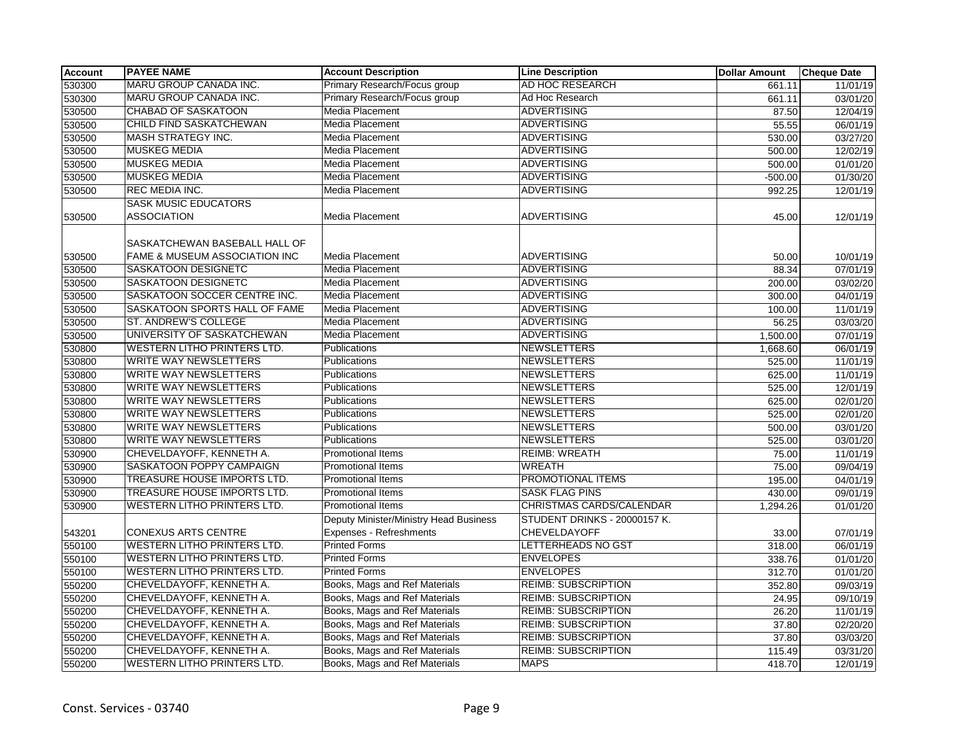| <b>Account</b> | <b>PAYEE NAME</b>                                              | <b>Account Description</b>                                        | <b>Line Description</b>                             | <b>Dollar Amount</b> | <b>Cheque Date</b>    |
|----------------|----------------------------------------------------------------|-------------------------------------------------------------------|-----------------------------------------------------|----------------------|-----------------------|
| 530300         | MARU GROUP CANADA INC.                                         | Primary Research/Focus group                                      | <b>AD HOC RESEARCH</b>                              | 661.11               | 11/01/19              |
| 530300         | MARU GROUP CANADA INC.                                         | Primary Research/Focus group                                      | Ad Hoc Research                                     | 661.11               | 03/01/20              |
| 530500         | <b>CHABAD OF SASKATOON</b>                                     | Media Placement                                                   | <b>ADVERTISING</b>                                  | 87.50                | 12/04/19              |
| 530500         | CHILD FIND SASKATCHEWAN                                        | Media Placement                                                   | <b>ADVERTISING</b>                                  | 55.55                | 06/01/19              |
| 530500         | MASH STRATEGY INC.                                             | Media Placement                                                   | <b>ADVERTISING</b>                                  | 530.00               | 03/27/20              |
| 530500         | <b>MUSKEG MEDIA</b>                                            | <b>Media Placement</b>                                            | <b>ADVERTISING</b>                                  | 500.00               | 12/02/19              |
| 530500         | <b>MUSKEG MEDIA</b>                                            | Media Placement                                                   | <b>ADVERTISING</b>                                  | 500.00               | 01/01/20              |
| 530500         | <b>MUSKEG MEDIA</b>                                            | <b>Media Placement</b>                                            | <b>ADVERTISING</b>                                  | $-500.00$            | 01/30/20              |
| 530500         | REC MEDIA INC.                                                 | Media Placement                                                   | <b>ADVERTISING</b>                                  | 992.25               | 12/01/19              |
| 530500         | <b>SASK MUSIC EDUCATORS</b><br><b>ASSOCIATION</b>              | Media Placement                                                   | <b>ADVERTISING</b>                                  | 45.00                | 12/01/19              |
| 530500         | SASKATCHEWAN BASEBALL HALL OF<br>FAME & MUSEUM ASSOCIATION INC | <b>Media Placement</b>                                            | ADVERTISING                                         | 50.00                | 10/01/19              |
| 530500         | SASKATOON DESIGNETC                                            | Media Placement                                                   | <b>ADVERTISING</b>                                  | 88.34                | $\overline{07/01/19}$ |
| 530500         | SASKATOON DESIGNETC                                            | Media Placement                                                   | <b>ADVERTISING</b>                                  | 200.00               | 03/02/20              |
| 530500         | SASKATOON SOCCER CENTRE INC.                                   | Media Placement                                                   | ADVERTISING                                         | 300.00               | 04/01/19              |
| 530500         | SASKATOON SPORTS HALL OF FAME                                  | <b>Media Placement</b>                                            | <b>ADVERTISING</b>                                  | 100.00               | 11/01/19              |
| 530500         | ST. ANDREW'S COLLEGE                                           | <b>Media Placement</b>                                            | <b>ADVERTISING</b>                                  | 56.25                | 03/03/20              |
| 530500         | UNIVERSITY OF SASKATCHEWAN                                     | <b>Media Placement</b>                                            | <b>ADVERTISING</b>                                  | 1,500.00             | 07/01/19              |
| 530800         | <b>WESTERN LITHO PRINTERS LTD.</b>                             | Publications                                                      | <b>NEWSLETTERS</b>                                  | 1,668.60             | 06/01/19              |
| 530800         | <b>WRITE WAY NEWSLETTERS</b>                                   | <b>Publications</b>                                               | <b>NEWSLETTERS</b>                                  | 525.00               | 11/01/19              |
| 530800         | <b>WRITE WAY NEWSLETTERS</b>                                   | Publications                                                      | <b>NEWSLETTERS</b>                                  | 625.00               | 11/01/19              |
| 530800         | <b>WRITE WAY NEWSLETTERS</b>                                   | Publications                                                      | <b>NEWSLETTERS</b>                                  | 525.00               | 12/01/19              |
| 530800         | <b>WRITE WAY NEWSLETTERS</b>                                   | Publications                                                      | <b>NEWSLETTERS</b>                                  | 625.00               | 02/01/20              |
| 530800         | <b>WRITE WAY NEWSLETTERS</b>                                   | Publications                                                      | <b>NEWSLETTERS</b>                                  | 525.00               | 02/01/20              |
| 530800         | <b>WRITE WAY NEWSLETTERS</b>                                   | Publications                                                      | NEWSLETTERS                                         | 500.00               | 03/01/20              |
| 530800         | <b>WRITE WAY NEWSLETTERS</b>                                   | Publications                                                      | <b>NEWSLETTERS</b>                                  | 525.00               | 03/01/20              |
| 530900         | CHEVELDAYOFF, KENNETH A.                                       | Promotional Items                                                 | <b>REIMB: WREATH</b>                                | 75.00                | 11/01/19              |
| 530900         | SASKATOON POPPY CAMPAIGN                                       | <b>Promotional Items</b>                                          | <b>WREATH</b>                                       | 75.00                | 09/04/19              |
| 530900         | <b>TREASURE HOUSE IMPORTS LTD.</b>                             | <b>Promotional Items</b>                                          | PROMOTIONAL ITEMS                                   | 195.00               | 04/01/19              |
| 530900         | TREASURE HOUSE IMPORTS LTD.                                    | <b>Promotional Items</b>                                          | <b>SASK FLAG PINS</b>                               | 430.00               | 09/01/19              |
| 530900         | <b>WESTERN LITHO PRINTERS LTD.</b>                             | <b>Promotional Items</b>                                          | CHRISTMAS CARDS/CALENDAR                            | 1,294.26             | 01/01/20              |
| 543201         | <b>CONEXUS ARTS CENTRE</b>                                     | Deputy Minister/Ministry Head Business<br>Expenses - Refreshments | STUDENT DRINKS - 20000157 K.<br><b>CHEVELDAYOFF</b> | 33.00                | 07/01/19              |
| 550100         | <b>WESTERN LITHO PRINTERS LTD.</b>                             | <b>Printed Forms</b>                                              | LETTERHEADS NO GST                                  | 318.00               | 06/01/19              |
| 550100         | WESTERN LITHO PRINTERS LTD.                                    | <b>Printed Forms</b>                                              | <b>ENVELOPES</b>                                    | 338.76               | 01/01/20              |
| 550100         | WESTERN LITHO PRINTERS LTD.                                    | <b>Printed Forms</b>                                              | <b>ENVELOPES</b>                                    | 312.70               | 01/01/20              |
| 550200         | CHEVELDAYOFF, KENNETH A.                                       | Books, Mags and Ref Materials                                     | <b>REIMB: SUBSCRIPTION</b>                          | 352.80               | 09/03/19              |
| 550200         | CHEVELDAYOFF, KENNETH A.                                       | Books, Mags and Ref Materials                                     | <b>REIMB: SUBSCRIPTION</b>                          | 24.95                | 09/10/19              |
| 550200         | CHEVELDAYOFF, KENNETH A.                                       | Books, Mags and Ref Materials                                     | <b>REIMB: SUBSCRIPTION</b>                          | 26.20                | 11/01/19              |
| 550200         | CHEVELDAYOFF, KENNETH A.                                       | Books, Mags and Ref Materials                                     | <b>REIMB: SUBSCRIPTION</b>                          | 37.80                | 02/20/20              |
| 550200         | CHEVELDAYOFF, KENNETH A.                                       | Books, Mags and Ref Materials                                     | <b>REIMB: SUBSCRIPTION</b>                          | 37.80                | 03/03/20              |
| 550200         | CHEVELDAYOFF, KENNETH A.                                       | Books, Mags and Ref Materials                                     | <b>REIMB: SUBSCRIPTION</b>                          | 115.49               | 03/31/20              |
| 550200         | WESTERN LITHO PRINTERS LTD.                                    | Books, Mags and Ref Materials                                     | <b>MAPS</b>                                         | 418.70               | 12/01/19              |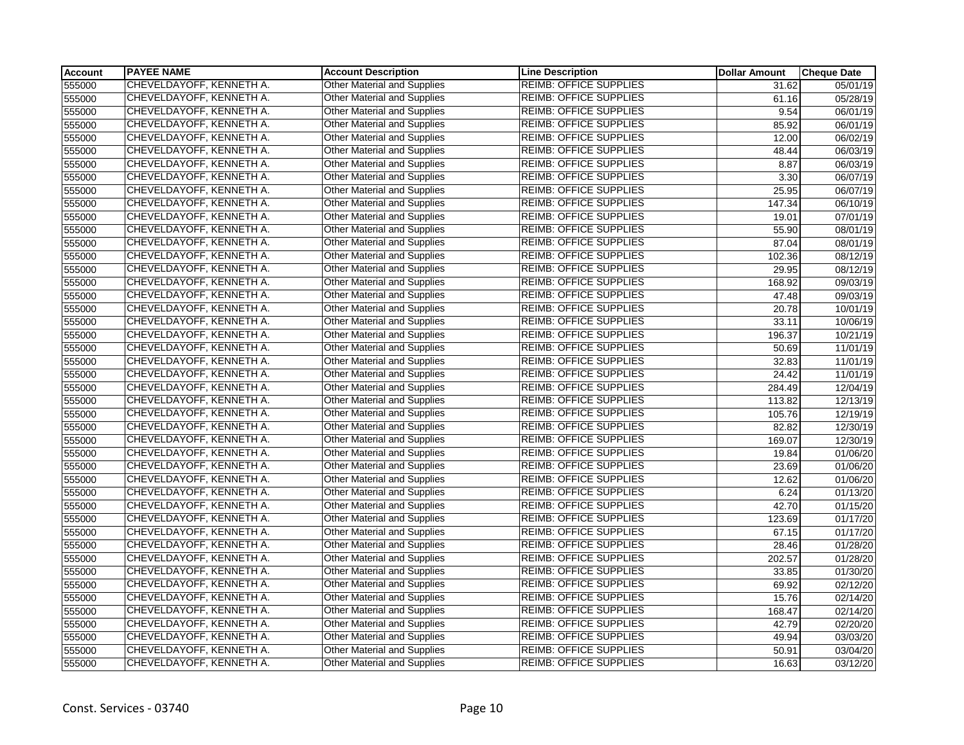| <b>Account</b> | <b>PAYEE NAME</b>        | <b>Account Description</b>         | <b>Line Description</b>       | <b>Dollar Amount</b> | <b>Cheque Date</b>    |
|----------------|--------------------------|------------------------------------|-------------------------------|----------------------|-----------------------|
| 555000         | CHEVELDAYOFF, KENNETH A. | <b>Other Material and Supplies</b> | <b>REIMB: OFFICE SUPPLIES</b> | 31.62                | 05/01/19              |
| 555000         | CHEVELDAYOFF, KENNETH A. | <b>Other Material and Supplies</b> | <b>REIMB: OFFICE SUPPLIES</b> | 61.16                | 05/28/19              |
| 555000         | CHEVELDAYOFF, KENNETH A. | <b>Other Material and Supplies</b> | <b>REIMB: OFFICE SUPPLIES</b> | 9.54                 | 06/01/19              |
| 555000         | CHEVELDAYOFF, KENNETH A. | <b>Other Material and Supplies</b> | <b>REIMB: OFFICE SUPPLIES</b> | 85.92                | 06/01/19              |
| 555000         | CHEVELDAYOFF, KENNETH A. | <b>Other Material and Supplies</b> | <b>REIMB: OFFICE SUPPLIES</b> | 12.00                | 06/02/19              |
| 555000         | CHEVELDAYOFF, KENNETH A. | <b>Other Material and Supplies</b> | <b>REIMB: OFFICE SUPPLIES</b> | 48.44                | 06/03/19              |
| 555000         | CHEVELDAYOFF, KENNETH A. | Other Material and Supplies        | <b>REIMB: OFFICE SUPPLIES</b> | 8.87                 | 06/03/19              |
| 555000         | CHEVELDAYOFF, KENNETH A. | <b>Other Material and Supplies</b> | <b>REIMB: OFFICE SUPPLIES</b> | 3.30                 | 06/07/19              |
| 555000         | CHEVELDAYOFF, KENNETH A. | <b>Other Material and Supplies</b> | <b>REIMB: OFFICE SUPPLIES</b> | 25.95                | 06/07/19              |
| 555000         | CHEVELDAYOFF, KENNETH A. | <b>Other Material and Supplies</b> | <b>REIMB: OFFICE SUPPLIES</b> | 147.34               | 06/10/19              |
| 555000         | CHEVELDAYOFF, KENNETH A. | <b>Other Material and Supplies</b> | <b>REIMB: OFFICE SUPPLIES</b> | 19.01                | $\overline{07/01/19}$ |
| 555000         | CHEVELDAYOFF, KENNETH A. | Other Material and Supplies        | <b>REIMB: OFFICE SUPPLIES</b> | 55.90                | 08/01/19              |
| 555000         | CHEVELDAYOFF, KENNETH A. | <b>Other Material and Supplies</b> | <b>REIMB: OFFICE SUPPLIES</b> | 87.04                | 08/01/19              |
| 555000         | CHEVELDAYOFF, KENNETH A. | <b>Other Material and Supplies</b> | <b>REIMB: OFFICE SUPPLIES</b> | 102.36               | 08/12/19              |
| 555000         | CHEVELDAYOFF, KENNETH A. | <b>Other Material and Supplies</b> | <b>REIMB: OFFICE SUPPLIES</b> | 29.95                | 08/12/19              |
| 555000         | CHEVELDAYOFF, KENNETH A. | Other Material and Supplies        | <b>REIMB: OFFICE SUPPLIES</b> | 168.92               | 09/03/19              |
| 555000         | CHEVELDAYOFF, KENNETH A. | <b>Other Material and Supplies</b> | <b>REIMB: OFFICE SUPPLIES</b> | 47.48                | 09/03/19              |
| 555000         | CHEVELDAYOFF, KENNETH A. | <b>Other Material and Supplies</b> | <b>REIMB: OFFICE SUPPLIES</b> | 20.78                | 10/01/19              |
| 555000         | CHEVELDAYOFF, KENNETH A. | <b>Other Material and Supplies</b> | <b>REIMB: OFFICE SUPPLIES</b> | 33.11                | 10/06/19              |
| 555000         | CHEVELDAYOFF, KENNETH A. | <b>Other Material and Supplies</b> | <b>REIMB: OFFICE SUPPLIES</b> | 196.37               | 10/21/19              |
| 555000         | CHEVELDAYOFF, KENNETH A. | Other Material and Supplies        | <b>REIMB: OFFICE SUPPLIES</b> | 50.69                | 11/01/19              |
| 555000         | CHEVELDAYOFF, KENNETH A. | <b>Other Material and Supplies</b> | <b>REIMB: OFFICE SUPPLIES</b> | 32.83                | 11/01/19              |
| 555000         | CHEVELDAYOFF, KENNETH A. | <b>Other Material and Supplies</b> | <b>REIMB: OFFICE SUPPLIES</b> | 24.42                | 11/01/19              |
| 555000         | CHEVELDAYOFF, KENNETH A. | <b>Other Material and Supplies</b> | <b>REIMB: OFFICE SUPPLIES</b> | 284.49               | 12/04/19              |
| 555000         | CHEVELDAYOFF, KENNETH A. | <b>Other Material and Supplies</b> | <b>REIMB: OFFICE SUPPLIES</b> | 113.82               | 12/13/19              |
| 555000         | CHEVELDAYOFF, KENNETH A. | <b>Other Material and Supplies</b> | <b>REIMB: OFFICE SUPPLIES</b> | 105.76               | 12/19/19              |
| 555000         | CHEVELDAYOFF, KENNETH A. | <b>Other Material and Supplies</b> | <b>REIMB: OFFICE SUPPLIES</b> | 82.82                | 12/30/19              |
| 555000         | CHEVELDAYOFF, KENNETH A. | <b>Other Material and Supplies</b> | <b>REIMB: OFFICE SUPPLIES</b> | 169.07               | 12/30/19              |
| 555000         | CHEVELDAYOFF, KENNETH A. | <b>Other Material and Supplies</b> | <b>REIMB: OFFICE SUPPLIES</b> | 19.84                | 01/06/20              |
| 555000         | CHEVELDAYOFF, KENNETH A. | <b>Other Material and Supplies</b> | <b>REIMB: OFFICE SUPPLIES</b> | 23.69                | 01/06/20              |
| 555000         | CHEVELDAYOFF, KENNETH A. | <b>Other Material and Supplies</b> | <b>REIMB: OFFICE SUPPLIES</b> | 12.62                | 01/06/20              |
| 555000         | CHEVELDAYOFF, KENNETH A. | Other Material and Supplies        | <b>REIMB: OFFICE SUPPLIES</b> | 6.24                 | 01/13/20              |
| 555000         | CHEVELDAYOFF, KENNETH A. | <b>Other Material and Supplies</b> | <b>REIMB: OFFICE SUPPLIES</b> | 42.70                | 01/15/20              |
|                | CHEVELDAYOFF, KENNETH A. | <b>Other Material and Supplies</b> | <b>REIMB: OFFICE SUPPLIES</b> |                      | 01/17/20              |
| 555000         | CHEVELDAYOFF, KENNETH A. | <b>Other Material and Supplies</b> | <b>REIMB: OFFICE SUPPLIES</b> | 123.69               |                       |
| 555000         |                          |                                    | <b>REIMB: OFFICE SUPPLIES</b> | 67.15                | 01/17/20              |
| 555000         | CHEVELDAYOFF, KENNETH A. | <b>Other Material and Supplies</b> |                               | 28.46                | 01/28/20              |
| 555000         | CHEVELDAYOFF, KENNETH A. | Other Material and Supplies        | <b>REIMB: OFFICE SUPPLIES</b> | 202.57               | 01/28/20              |
| 555000         | CHEVELDAYOFF, KENNETH A. | <b>Other Material and Supplies</b> | <b>REIMB: OFFICE SUPPLIES</b> | 33.85                | 01/30/20              |
| 555000         | CHEVELDAYOFF, KENNETH A. | <b>Other Material and Supplies</b> | <b>REIMB: OFFICE SUPPLIES</b> | 69.92                | 02/12/20              |
| 555000         | CHEVELDAYOFF, KENNETH A. | Other Material and Supplies        | <b>REIMB: OFFICE SUPPLIES</b> | 15.76                | 02/14/20              |
| 555000         | CHEVELDAYOFF, KENNETH A. | <b>Other Material and Supplies</b> | <b>REIMB: OFFICE SUPPLIES</b> | 168.47               | 02/14/20              |
| 555000         | CHEVELDAYOFF, KENNETH A. | Other Material and Supplies        | <b>REIMB: OFFICE SUPPLIES</b> | 42.79                | 02/20/20              |
| 555000         | CHEVELDAYOFF, KENNETH A. | <b>Other Material and Supplies</b> | <b>REIMB: OFFICE SUPPLIES</b> | 49.94                | 03/03/20              |
| 555000         | CHEVELDAYOFF, KENNETH A. | Other Material and Supplies        | <b>REIMB: OFFICE SUPPLIES</b> | 50.91                | 03/04/20              |
| 555000         | CHEVELDAYOFF, KENNETH A. | <b>Other Material and Supplies</b> | <b>REIMB: OFFICE SUPPLIES</b> | 16.63                | 03/12/20              |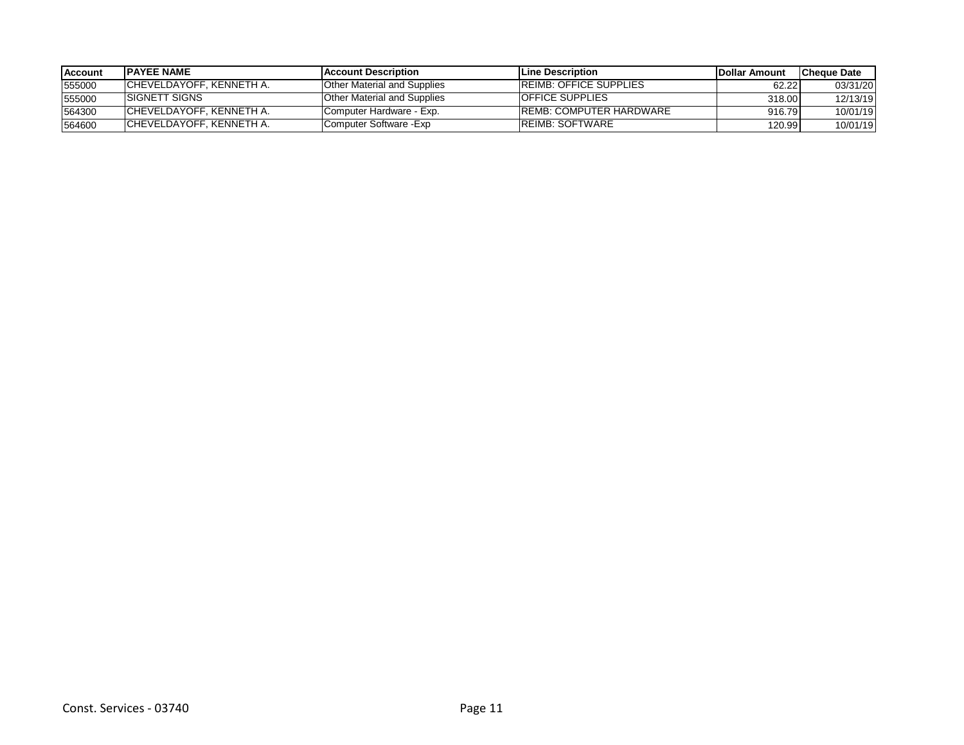| <b>Account</b> | <b>IPAYEE NAME</b>        | <b>IAccount Description</b>        | <b>ILine Description</b>       | <b>IDollar Amount</b> | <b>ICheque Date</b> |
|----------------|---------------------------|------------------------------------|--------------------------------|-----------------------|---------------------|
| 555000         | ICHEVELDAYOFF. KENNETH A. | <b>Other Material and Supplies</b> | <b>IREIMB: OFFICE SUPPLIES</b> | 62.22                 | 03/31/20            |
| 555000         | <b>ISIGNETT SIGNS</b>     | <b>Other Material and Supplies</b> | <b>OFFICE SUPPLIES</b>         | 318.00                | 12/13/19            |
| 564300         | ICHEVELDAYOFF, KENNETH A. | Computer Hardware - Exp.           | IREMB: COMPUTER HARDWARE       | 916.79                | 10/01/19            |
| 564600         | ICHEVELDAYOFF. KENNETH A. | Computer Software -Exp             | <b>REIMB: SOFTWARE</b>         | 120.99                | 10/01/19            |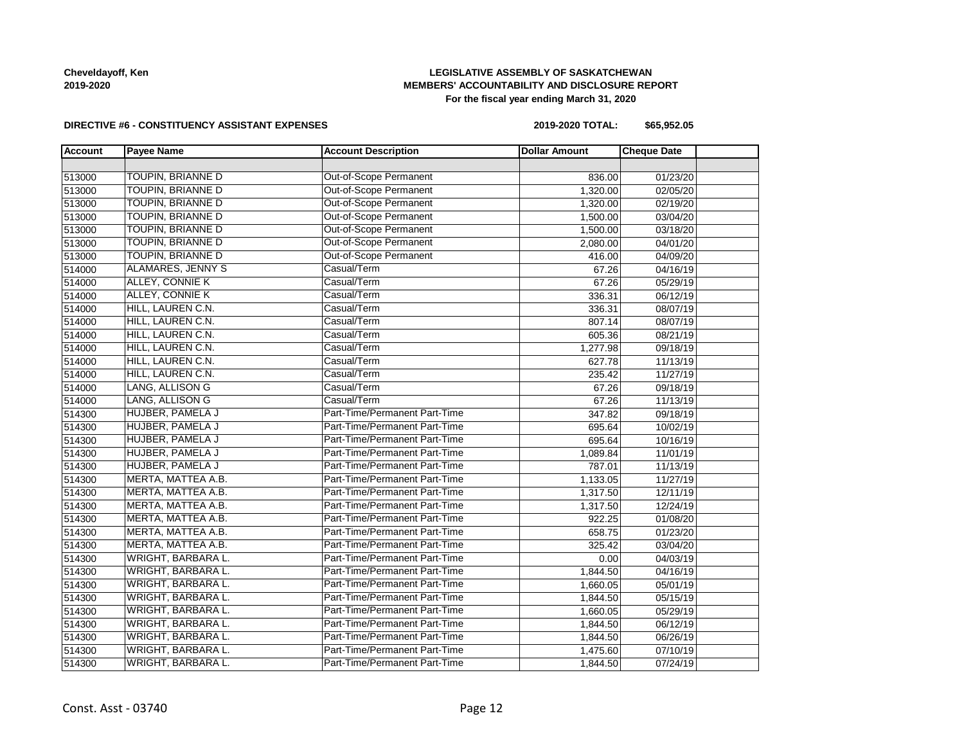# **LEGISLATIVE ASSEMBLY OF SASKATCHEWAN MEMBERS' ACCOUNTABILITY AND DISCLOSURE REPORT For the fiscal year ending March 31, 2020**

### **DIRECTIVE #6 - CONSTITUENCY ASSISTANT EXPENSES**

**2019-2020 TOTAL: \$65,952.05**

| <b>Account</b> | <b>Payee Name</b>         | <b>Account Description</b>    | <b>Dollar Amount</b> | <b>Cheque Date</b> |  |
|----------------|---------------------------|-------------------------------|----------------------|--------------------|--|
|                |                           |                               |                      |                    |  |
| 513000         | TOUPIN, BRIANNE D         | <b>Out-of-Scope Permanent</b> | 836.00               | 01/23/20           |  |
| 513000         | <b>TOUPIN, BRIANNE D</b>  | Out-of-Scope Permanent        | 1,320.00             | 02/05/20           |  |
| 513000         | <b>TOUPIN, BRIANNE D</b>  | Out-of-Scope Permanent        | 1,320.00             | 02/19/20           |  |
| 513000         | <b>TOUPIN, BRIANNE D</b>  | Out-of-Scope Permanent        | 1,500.00             | 03/04/20           |  |
| 513000         | TOUPIN, BRIANNE D         | Out-of-Scope Permanent        | 1,500.00             | 03/18/20           |  |
| 513000         | TOUPIN, BRIANNE D         | <b>Out-of-Scope Permanent</b> | 2,080.00             | 04/01/20           |  |
| 513000         | <b>TOUPIN, BRIANNE D</b>  | Out-of-Scope Permanent        | 416.00               | 04/09/20           |  |
| 514000         | ALAMARES, JENNY S         | Casual/Term                   | 67.26                | 04/16/19           |  |
| 514000         | ALLEY, CONNIE K           | Casual/Term                   | 67.26                | 05/29/19           |  |
| 514000         | ALLEY, CONNIE K           | Casual/Term                   | 336.31               | 06/12/19           |  |
| 514000         | HILL, LAUREN C.N.         | Casual/Term                   | 336.31               | 08/07/19           |  |
| 514000         | HILL, LAUREN C.N.         | Casual/Term                   | 807.14               | 08/07/19           |  |
| 514000         | HILL, LAUREN C.N.         | Casual/Term                   | 605.36               | 08/21/19           |  |
| 514000         | HILL, LAUREN C.N.         | Casual/Term                   | 1,277.98             | 09/18/19           |  |
| 514000         | HILL, LAUREN C.N.         | Casual/Term                   | 627.78               | 11/13/19           |  |
| 514000         | HILL, LAUREN C.N.         | Casual/Term                   | 235.42               | 11/27/19           |  |
| 514000         | LANG, ALLISON G           | Casual/Term                   | 67.26                | 09/18/19           |  |
| 514000         | LANG, ALLISON G           | Casual/Term                   | 67.26                | 11/13/19           |  |
| 514300         | HUJBER, PAMELA J          | Part-Time/Permanent Part-Time | 347.82               | 09/18/19           |  |
| 514300         | HUJBER, PAMELA J          | Part-Time/Permanent Part-Time | 695.64               | 10/02/19           |  |
| 514300         | HUJBER, PAMELA J          | Part-Time/Permanent Part-Time | 695.64               | 10/16/19           |  |
| 514300         | HUJBER, PAMELA J          | Part-Time/Permanent Part-Time | 1,089.84             | 11/01/19           |  |
| 514300         | HUJBER, PAMELA J          | Part-Time/Permanent Part-Time | 787.01               | 11/13/19           |  |
| 514300         | MERTA, MATTEA A.B.        | Part-Time/Permanent Part-Time | 1,133.05             | 11/27/19           |  |
| 514300         | MERTA, MATTEA A.B.        | Part-Time/Permanent Part-Time | 1,317.50             | 12/11/19           |  |
| 514300         | MERTA, MATTEA A.B.        | Part-Time/Permanent Part-Time | 1,317.50             | 12/24/19           |  |
| 514300         | MERTA, MATTEA A.B.        | Part-Time/Permanent Part-Time | 922.25               | 01/08/20           |  |
| 514300         | MERTA, MATTEA A.B.        | Part-Time/Permanent Part-Time | 658.75               | 01/23/20           |  |
| 514300         | MERTA, MATTEA A.B.        | Part-Time/Permanent Part-Time | 325.42               | 03/04/20           |  |
| 514300         | WRIGHT, BARBARA L.        | Part-Time/Permanent Part-Time | 0.00                 | 04/03/19           |  |
| 514300         | WRIGHT, BARBARA L.        | Part-Time/Permanent Part-Time | 1,844.50             | 04/16/19           |  |
| 514300         | WRIGHT, BARBARA L.        | Part-Time/Permanent Part-Time | 1,660.05             | 05/01/19           |  |
| 514300         | WRIGHT, BARBARA L.        | Part-Time/Permanent Part-Time | 1,844.50             | 05/15/19           |  |
| 514300         | <b>WRIGHT, BARBARA L.</b> | Part-Time/Permanent Part-Time | 1,660.05             | 05/29/19           |  |
| 514300         | WRIGHT, BARBARA L.        | Part-Time/Permanent Part-Time | 1,844.50             | 06/12/19           |  |
| 514300         | <b>WRIGHT, BARBARA L.</b> | Part-Time/Permanent Part-Time | 1,844.50             | 06/26/19           |  |
| 514300         | WRIGHT, BARBARA L.        | Part-Time/Permanent Part-Time | 1,475.60             | 07/10/19           |  |
| 514300         | <b>WRIGHT, BARBARA L.</b> | Part-Time/Permanent Part-Time | 1,844.50             | 07/24/19           |  |